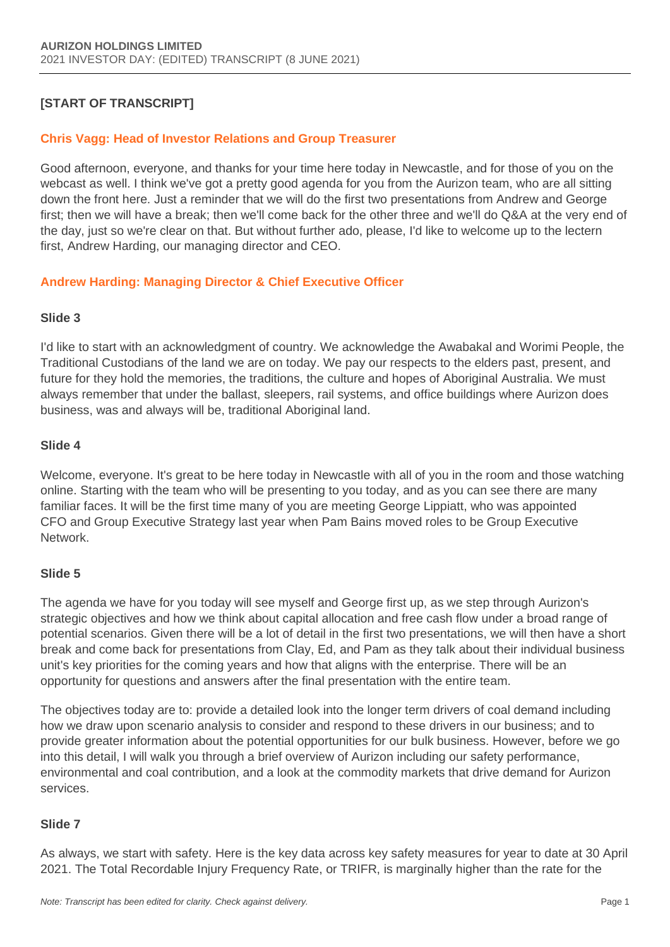# **[START OF TRANSCRIPT]**

### **Chris Vagg: Head of Investor Relations and Group Treasurer**

Good afternoon, everyone, and thanks for your time here today in Newcastle, and for those of you on the webcast as well. I think we've got a pretty good agenda for you from the Aurizon team, who are all sitting down the front here. Just a reminder that we will do the first two presentations from Andrew and George first; then we will have a break; then we'll come back for the other three and we'll do Q&A at the very end of the day, just so we're clear on that. But without further ado, please, I'd like to welcome up to the lectern first, Andrew Harding, our managing director and CEO.

### **Andrew Harding: Managing Director & Chief Executive Officer**

#### **Slide 3**

I'd like to start with an acknowledgment of country. We acknowledge the Awabakal and Worimi People, the Traditional Custodians of the land we are on today. We pay our respects to the elders past, present, and future for they hold the memories, the traditions, the culture and hopes of Aboriginal Australia. We must always remember that under the ballast, sleepers, rail systems, and office buildings where Aurizon does business, was and always will be, traditional Aboriginal land.

#### **Slide 4**

Welcome, everyone. It's great to be here today in Newcastle with all of you in the room and those watching online. Starting with the team who will be presenting to you today, and as you can see there are many familiar faces. It will be the first time many of you are meeting George Lippiatt, who was appointed CFO and Group Executive Strategy last year when Pam Bains moved roles to be Group Executive Network.

#### **Slide 5**

The agenda we have for you today will see myself and George first up, as we step through Aurizon's strategic objectives and how we think about capital allocation and free cash flow under a broad range of potential scenarios. Given there will be a lot of detail in the first two presentations, we will then have a short break and come back for presentations from Clay, Ed, and Pam as they talk about their individual business unit's key priorities for the coming years and how that aligns with the enterprise. There will be an opportunity for questions and answers after the final presentation with the entire team.

The objectives today are to: provide a detailed look into the longer term drivers of coal demand including how we draw upon scenario analysis to consider and respond to these drivers in our business; and to provide greater information about the potential opportunities for our bulk business. However, before we go into this detail, I will walk you through a brief overview of Aurizon including our safety performance, environmental and coal contribution, and a look at the commodity markets that drive demand for Aurizon services.

#### **Slide 7**

As always, we start with safety. Here is the key data across key safety measures for year to date at 30 April 2021. The Total Recordable Injury Frequency Rate, or TRIFR, is marginally higher than the rate for the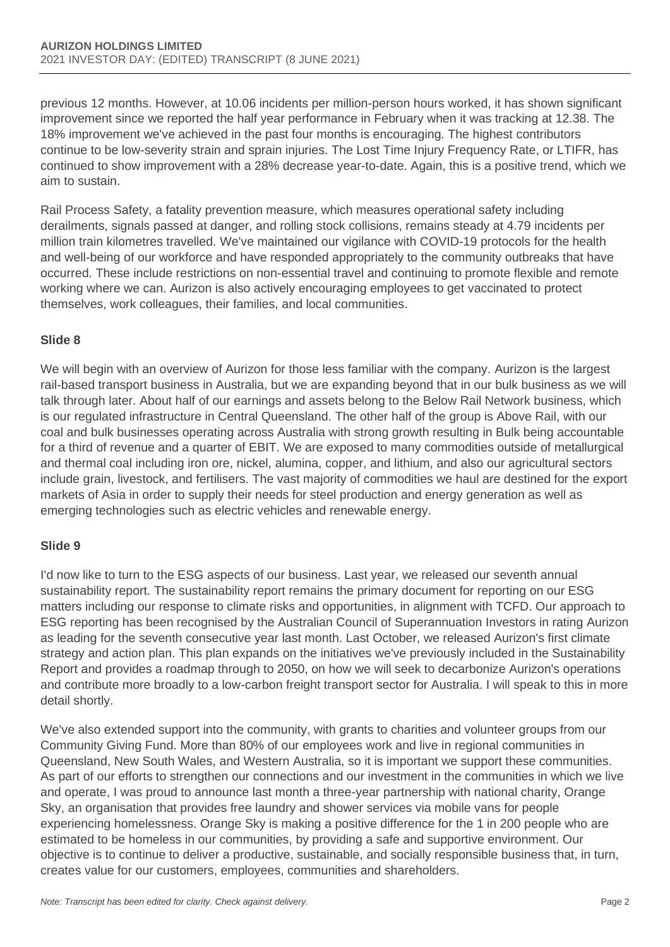previous 12 months. However, at 10.06 incidents per million-person hours worked, it has shown significant improvement since we reported the half year performance in February when it was tracking at 12.38. The 18% improvement we've achieved in the past four months is encouraging. The highest contributors continue to be low-severity strain and sprain injuries. The Lost Time Injury Frequency Rate, or LTIFR, has continued to show improvement with a 28% decrease year-to-date. Again, this is a positive trend, which we aim to sustain.

Rail Process Safety, a fatality prevention measure, which measures operational safety including derailments, signals passed at danger, and rolling stock collisions, remains steady at 4.79 incidents per million train kilometres travelled. We've maintained our vigilance with COVID-19 protocols for the health and well-being of our workforce and have responded appropriately to the community outbreaks that have occurred. These include restrictions on non-essential travel and continuing to promote flexible and remote working where we can. Aurizon is also actively encouraging employees to get vaccinated to protect themselves, work colleagues, their families, and local communities.

## **Slide 8**

We will begin with an overview of Aurizon for those less familiar with the company. Aurizon is the largest rail-based transport business in Australia, but we are expanding beyond that in our bulk business as we will talk through later. About half of our earnings and assets belong to the Below Rail Network business, which is our regulated infrastructure in Central Queensland. The other half of the group is Above Rail, with our coal and bulk businesses operating across Australia with strong growth resulting in Bulk being accountable for a third of revenue and a quarter of EBIT. We are exposed to many commodities outside of metallurgical and thermal coal including iron ore, nickel, alumina, copper, and lithium, and also our agricultural sectors include grain, livestock, and fertilisers. The vast majority of commodities we haul are destined for the export markets of Asia in order to supply their needs for steel production and energy generation as well as emerging technologies such as electric vehicles and renewable energy.

## **Slide 9**

I'd now like to turn to the ESG aspects of our business. Last year, we released our seventh annual sustainability report. The sustainability report remains the primary document for reporting on our ESG matters including our response to climate risks and opportunities, in alignment with TCFD. Our approach to ESG reporting has been recognised by the Australian Council of Superannuation Investors in rating Aurizon as leading for the seventh consecutive year last month. Last October, we released Aurizon's first climate strategy and action plan. This plan expands on the initiatives we've previously included in the Sustainability Report and provides a roadmap through to 2050, on how we will seek to decarbonize Aurizon's operations and contribute more broadly to a low-carbon freight transport sector for Australia. I will speak to this in more detail shortly.

We've also extended support into the community, with grants to charities and volunteer groups from our Community Giving Fund. More than 80% of our employees work and live in regional communities in Queensland, New South Wales, and Western Australia, so it is important we support these communities. As part of our efforts to strengthen our connections and our investment in the communities in which we live and operate, I was proud to announce last month a three-year partnership with national charity, Orange Sky, an organisation that provides free laundry and shower services via mobile vans for people experiencing homelessness. Orange Sky is making a positive difference for the 1 in 200 people who are estimated to be homeless in our communities, by providing a safe and supportive environment. Our objective is to continue to deliver a productive, sustainable, and socially responsible business that, in turn, creates value for our customers, employees, communities and shareholders.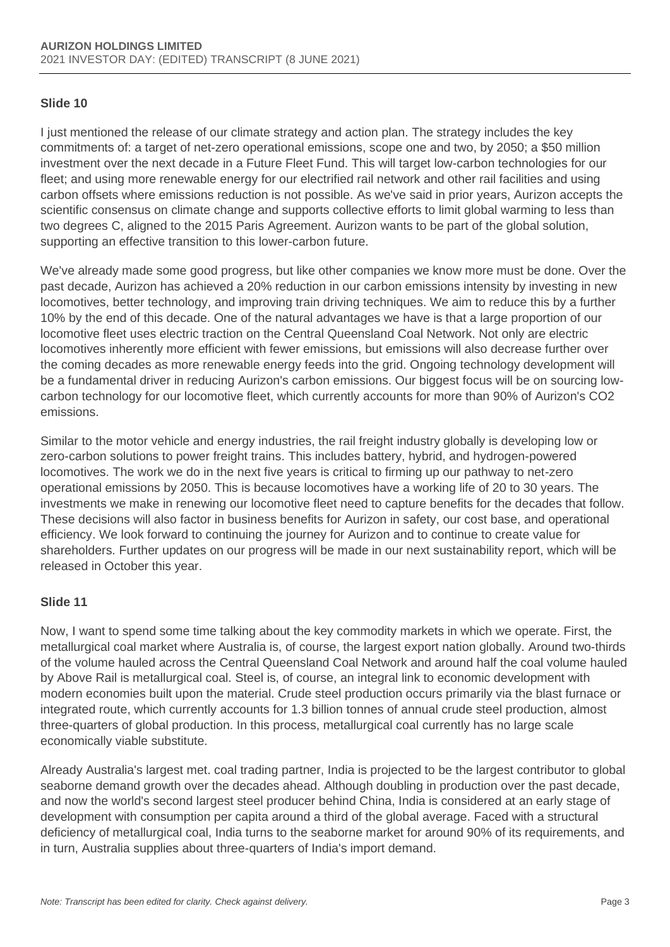### **Slide 10**

I just mentioned the release of our climate strategy and action plan. The strategy includes the key commitments of: a target of net-zero operational emissions, scope one and two, by 2050; a \$50 million investment over the next decade in a Future Fleet Fund. This will target low-carbon technologies for our fleet; and using more renewable energy for our electrified rail network and other rail facilities and using carbon offsets where emissions reduction is not possible. As we've said in prior years, Aurizon accepts the scientific consensus on climate change and supports collective efforts to limit global warming to less than two degrees C, aligned to the 2015 Paris Agreement. Aurizon wants to be part of the global solution, supporting an effective transition to this lower-carbon future.

We've already made some good progress, but like other companies we know more must be done. Over the past decade, Aurizon has achieved a 20% reduction in our carbon emissions intensity by investing in new locomotives, better technology, and improving train driving techniques. We aim to reduce this by a further 10% by the end of this decade. One of the natural advantages we have is that a large proportion of our locomotive fleet uses electric traction on the Central Queensland Coal Network. Not only are electric locomotives inherently more efficient with fewer emissions, but emissions will also decrease further over the coming decades as more renewable energy feeds into the grid. Ongoing technology development will be a fundamental driver in reducing Aurizon's carbon emissions. Our biggest focus will be on sourcing lowcarbon technology for our locomotive fleet, which currently accounts for more than 90% of Aurizon's CO2 emissions.

Similar to the motor vehicle and energy industries, the rail freight industry globally is developing low or zero-carbon solutions to power freight trains. This includes battery, hybrid, and hydrogen-powered locomotives. The work we do in the next five years is critical to firming up our pathway to net-zero operational emissions by 2050. This is because locomotives have a working life of 20 to 30 years. The investments we make in renewing our locomotive fleet need to capture benefits for the decades that follow. These decisions will also factor in business benefits for Aurizon in safety, our cost base, and operational efficiency. We look forward to continuing the journey for Aurizon and to continue to create value for shareholders. Further updates on our progress will be made in our next sustainability report, which will be released in October this year.

#### **Slide 11**

Now, I want to spend some time talking about the key commodity markets in which we operate. First, the metallurgical coal market where Australia is, of course, the largest export nation globally. Around two-thirds of the volume hauled across the Central Queensland Coal Network and around half the coal volume hauled by Above Rail is metallurgical coal. Steel is, of course, an integral link to economic development with modern economies built upon the material. Crude steel production occurs primarily via the blast furnace or integrated route, which currently accounts for 1.3 billion tonnes of annual crude steel production, almost three-quarters of global production. In this process, metallurgical coal currently has no large scale economically viable substitute.

Already Australia's largest met. coal trading partner, India is projected to be the largest contributor to global seaborne demand growth over the decades ahead. Although doubling in production over the past decade, and now the world's second largest steel producer behind China, India is considered at an early stage of development with consumption per capita around a third of the global average. Faced with a structural deficiency of metallurgical coal, India turns to the seaborne market for around 90% of its requirements, and in turn, Australia supplies about three-quarters of India's import demand.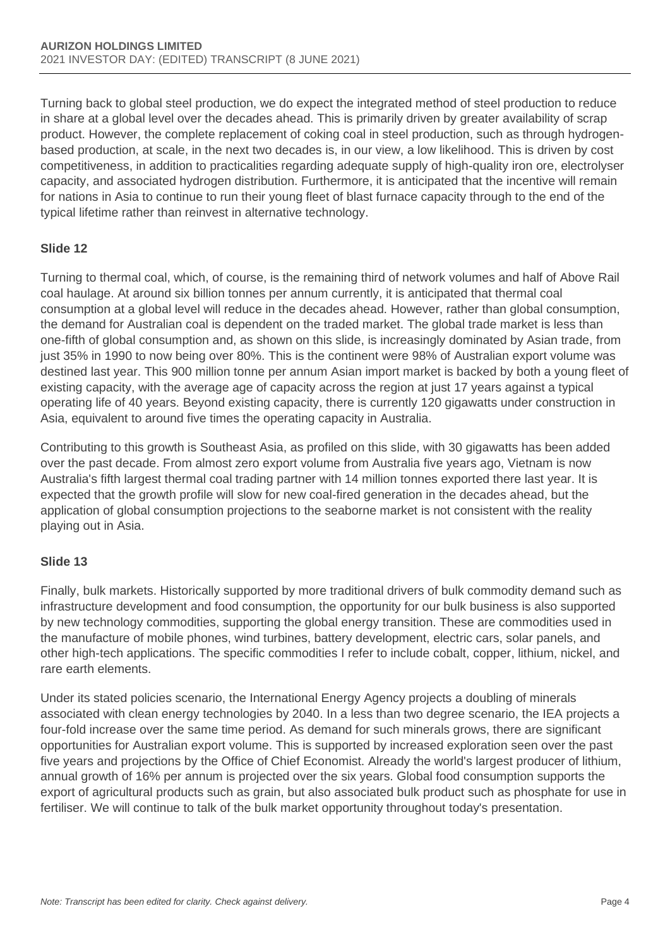Turning back to global steel production, we do expect the integrated method of steel production to reduce in share at a global level over the decades ahead. This is primarily driven by greater availability of scrap product. However, the complete replacement of coking coal in steel production, such as through hydrogenbased production, at scale, in the next two decades is, in our view, a low likelihood. This is driven by cost competitiveness, in addition to practicalities regarding adequate supply of high-quality iron ore, electrolyser capacity, and associated hydrogen distribution. Furthermore, it is anticipated that the incentive will remain for nations in Asia to continue to run their young fleet of blast furnace capacity through to the end of the typical lifetime rather than reinvest in alternative technology.

## **Slide 12**

Turning to thermal coal, which, of course, is the remaining third of network volumes and half of Above Rail coal haulage. At around six billion tonnes per annum currently, it is anticipated that thermal coal consumption at a global level will reduce in the decades ahead. However, rather than global consumption, the demand for Australian coal is dependent on the traded market. The global trade market is less than one-fifth of global consumption and, as shown on this slide, is increasingly dominated by Asian trade, from just 35% in 1990 to now being over 80%. This is the continent were 98% of Australian export volume was destined last year. This 900 million tonne per annum Asian import market is backed by both a young fleet of existing capacity, with the average age of capacity across the region at just 17 years against a typical operating life of 40 years. Beyond existing capacity, there is currently 120 gigawatts under construction in Asia, equivalent to around five times the operating capacity in Australia.

Contributing to this growth is Southeast Asia, as profiled on this slide, with 30 gigawatts has been added over the past decade. From almost zero export volume from Australia five years ago, Vietnam is now Australia's fifth largest thermal coal trading partner with 14 million tonnes exported there last year. It is expected that the growth profile will slow for new coal-fired generation in the decades ahead, but the application of global consumption projections to the seaborne market is not consistent with the reality playing out in Asia.

## **Slide 13**

Finally, bulk markets. Historically supported by more traditional drivers of bulk commodity demand such as infrastructure development and food consumption, the opportunity for our bulk business is also supported by new technology commodities, supporting the global energy transition. These are commodities used in the manufacture of mobile phones, wind turbines, battery development, electric cars, solar panels, and other high-tech applications. The specific commodities I refer to include cobalt, copper, lithium, nickel, and rare earth elements.

Under its stated policies scenario, the International Energy Agency projects a doubling of minerals associated with clean energy technologies by 2040. In a less than two degree scenario, the IEA projects a four-fold increase over the same time period. As demand for such minerals grows, there are significant opportunities for Australian export volume. This is supported by increased exploration seen over the past five years and projections by the Office of Chief Economist. Already the world's largest producer of lithium, annual growth of 16% per annum is projected over the six years. Global food consumption supports the export of agricultural products such as grain, but also associated bulk product such as phosphate for use in fertiliser. We will continue to talk of the bulk market opportunity throughout today's presentation.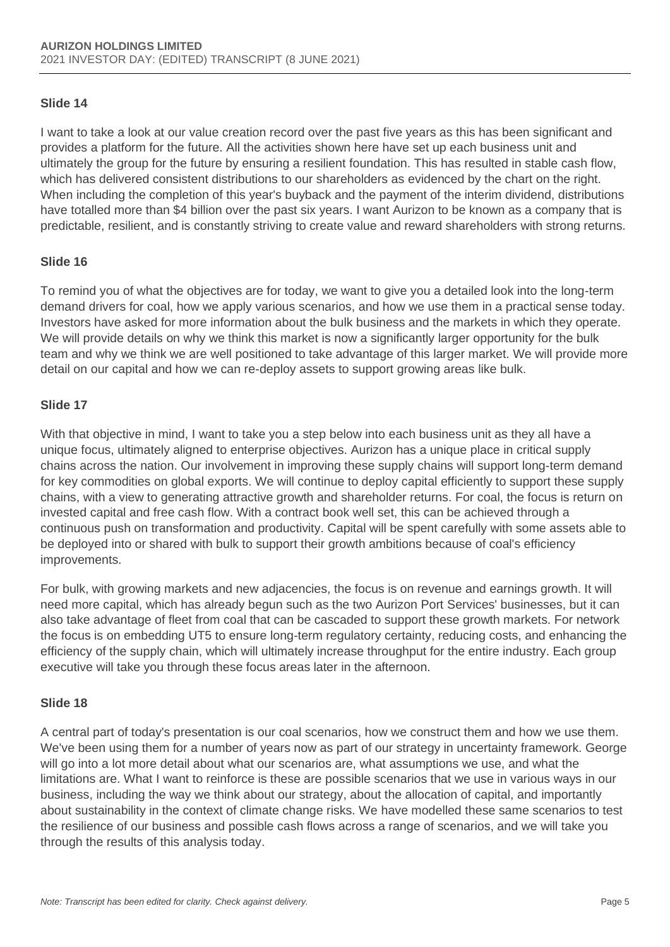### **Slide 14**

I want to take a look at our value creation record over the past five years as this has been significant and provides a platform for the future. All the activities shown here have set up each business unit and ultimately the group for the future by ensuring a resilient foundation. This has resulted in stable cash flow, which has delivered consistent distributions to our shareholders as evidenced by the chart on the right. When including the completion of this year's buyback and the payment of the interim dividend, distributions have totalled more than \$4 billion over the past six years. I want Aurizon to be known as a company that is predictable, resilient, and is constantly striving to create value and reward shareholders with strong returns.

### **Slide 16**

To remind you of what the objectives are for today, we want to give you a detailed look into the long-term demand drivers for coal, how we apply various scenarios, and how we use them in a practical sense today. Investors have asked for more information about the bulk business and the markets in which they operate. We will provide details on why we think this market is now a significantly larger opportunity for the bulk team and why we think we are well positioned to take advantage of this larger market. We will provide more detail on our capital and how we can re-deploy assets to support growing areas like bulk.

### **Slide 17**

With that objective in mind, I want to take you a step below into each business unit as they all have a unique focus, ultimately aligned to enterprise objectives. Aurizon has a unique place in critical supply chains across the nation. Our involvement in improving these supply chains will support long-term demand for key commodities on global exports. We will continue to deploy capital efficiently to support these supply chains, with a view to generating attractive growth and shareholder returns. For coal, the focus is return on invested capital and free cash flow. With a contract book well set, this can be achieved through a continuous push on transformation and productivity. Capital will be spent carefully with some assets able to be deployed into or shared with bulk to support their growth ambitions because of coal's efficiency improvements.

For bulk, with growing markets and new adjacencies, the focus is on revenue and earnings growth. It will need more capital, which has already begun such as the two Aurizon Port Services' businesses, but it can also take advantage of fleet from coal that can be cascaded to support these growth markets. For network the focus is on embedding UT5 to ensure long-term regulatory certainty, reducing costs, and enhancing the efficiency of the supply chain, which will ultimately increase throughput for the entire industry. Each group executive will take you through these focus areas later in the afternoon.

#### **Slide 18**

A central part of today's presentation is our coal scenarios, how we construct them and how we use them. We've been using them for a number of years now as part of our strategy in uncertainty framework. George will go into a lot more detail about what our scenarios are, what assumptions we use, and what the limitations are. What I want to reinforce is these are possible scenarios that we use in various ways in our business, including the way we think about our strategy, about the allocation of capital, and importantly about sustainability in the context of climate change risks. We have modelled these same scenarios to test the resilience of our business and possible cash flows across a range of scenarios, and we will take you through the results of this analysis today.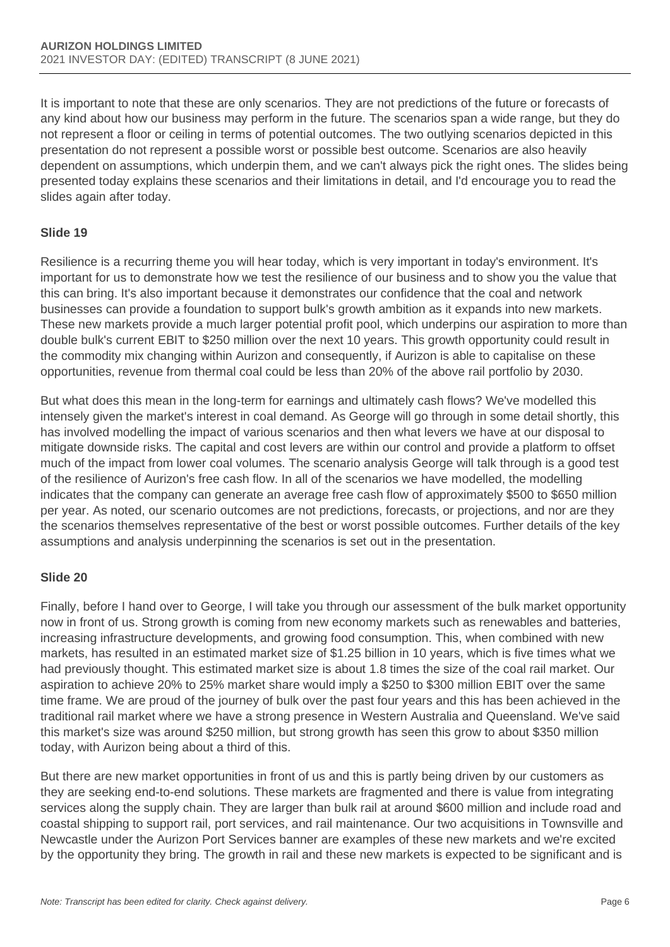It is important to note that these are only scenarios. They are not predictions of the future or forecasts of any kind about how our business may perform in the future. The scenarios span a wide range, but they do not represent a floor or ceiling in terms of potential outcomes. The two outlying scenarios depicted in this presentation do not represent a possible worst or possible best outcome. Scenarios are also heavily dependent on assumptions, which underpin them, and we can't always pick the right ones. The slides being presented today explains these scenarios and their limitations in detail, and I'd encourage you to read the slides again after today.

### **Slide 19**

Resilience is a recurring theme you will hear today, which is very important in today's environment. It's important for us to demonstrate how we test the resilience of our business and to show you the value that this can bring. It's also important because it demonstrates our confidence that the coal and network businesses can provide a foundation to support bulk's growth ambition as it expands into new markets. These new markets provide a much larger potential profit pool, which underpins our aspiration to more than double bulk's current EBIT to \$250 million over the next 10 years. This growth opportunity could result in the commodity mix changing within Aurizon and consequently, if Aurizon is able to capitalise on these opportunities, revenue from thermal coal could be less than 20% of the above rail portfolio by 2030.

But what does this mean in the long-term for earnings and ultimately cash flows? We've modelled this intensely given the market's interest in coal demand. As George will go through in some detail shortly, this has involved modelling the impact of various scenarios and then what levers we have at our disposal to mitigate downside risks. The capital and cost levers are within our control and provide a platform to offset much of the impact from lower coal volumes. The scenario analysis George will talk through is a good test of the resilience of Aurizon's free cash flow. In all of the scenarios we have modelled, the modelling indicates that the company can generate an average free cash flow of approximately \$500 to \$650 million per year. As noted, our scenario outcomes are not predictions, forecasts, or projections, and nor are they the scenarios themselves representative of the best or worst possible outcomes. Further details of the key assumptions and analysis underpinning the scenarios is set out in the presentation.

#### **Slide 20**

Finally, before I hand over to George, I will take you through our assessment of the bulk market opportunity now in front of us. Strong growth is coming from new economy markets such as renewables and batteries, increasing infrastructure developments, and growing food consumption. This, when combined with new markets, has resulted in an estimated market size of \$1.25 billion in 10 years, which is five times what we had previously thought. This estimated market size is about 1.8 times the size of the coal rail market. Our aspiration to achieve 20% to 25% market share would imply a \$250 to \$300 million EBIT over the same time frame. We are proud of the journey of bulk over the past four years and this has been achieved in the traditional rail market where we have a strong presence in Western Australia and Queensland. We've said this market's size was around \$250 million, but strong growth has seen this grow to about \$350 million today, with Aurizon being about a third of this.

But there are new market opportunities in front of us and this is partly being driven by our customers as they are seeking end-to-end solutions. These markets are fragmented and there is value from integrating services along the supply chain. They are larger than bulk rail at around \$600 million and include road and coastal shipping to support rail, port services, and rail maintenance. Our two acquisitions in Townsville and Newcastle under the Aurizon Port Services banner are examples of these new markets and we're excited by the opportunity they bring. The growth in rail and these new markets is expected to be significant and is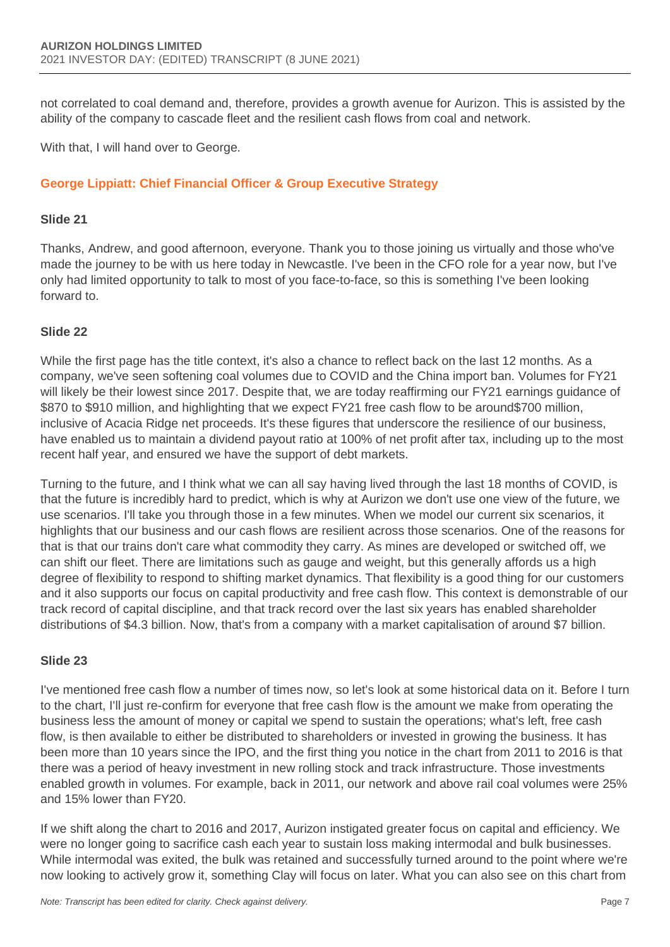not correlated to coal demand and, therefore, provides a growth avenue for Aurizon. This is assisted by the ability of the company to cascade fleet and the resilient cash flows from coal and network.

With that, I will hand over to George.

## **George Lippiatt: Chief Financial Officer & Group Executive Strategy**

#### **Slide 21**

Thanks, Andrew, and good afternoon, everyone. Thank you to those joining us virtually and those who've made the journey to be with us here today in Newcastle. I've been in the CFO role for a year now, but I've only had limited opportunity to talk to most of you face-to-face, so this is something I've been looking forward to.

### **Slide 22**

While the first page has the title context, it's also a chance to reflect back on the last 12 months. As a company, we've seen softening coal volumes due to COVID and the China import ban. Volumes for FY21 will likely be their lowest since 2017. Despite that, we are today reaffirming our FY21 earnings guidance of \$870 to \$910 million, and highlighting that we expect FY21 free cash flow to be around\$700 million, inclusive of Acacia Ridge net proceeds. It's these figures that underscore the resilience of our business, have enabled us to maintain a dividend payout ratio at 100% of net profit after tax, including up to the most recent half year, and ensured we have the support of debt markets.

Turning to the future, and I think what we can all say having lived through the last 18 months of COVID, is that the future is incredibly hard to predict, which is why at Aurizon we don't use one view of the future, we use scenarios. I'll take you through those in a few minutes. When we model our current six scenarios, it highlights that our business and our cash flows are resilient across those scenarios. One of the reasons for that is that our trains don't care what commodity they carry. As mines are developed or switched off, we can shift our fleet. There are limitations such as gauge and weight, but this generally affords us a high degree of flexibility to respond to shifting market dynamics. That flexibility is a good thing for our customers and it also supports our focus on capital productivity and free cash flow. This context is demonstrable of our track record of capital discipline, and that track record over the last six years has enabled shareholder distributions of \$4.3 billion. Now, that's from a company with a market capitalisation of around \$7 billion.

## **Slide 23**

I've mentioned free cash flow a number of times now, so let's look at some historical data on it. Before I turn to the chart, I'll just re-confirm for everyone that free cash flow is the amount we make from operating the business less the amount of money or capital we spend to sustain the operations; what's left, free cash flow, is then available to either be distributed to shareholders or invested in growing the business. It has been more than 10 years since the IPO, and the first thing you notice in the chart from 2011 to 2016 is that there was a period of heavy investment in new rolling stock and track infrastructure. Those investments enabled growth in volumes. For example, back in 2011, our network and above rail coal volumes were 25% and 15% lower than FY20.

If we shift along the chart to 2016 and 2017, Aurizon instigated greater focus on capital and efficiency. We were no longer going to sacrifice cash each year to sustain loss making intermodal and bulk businesses. While intermodal was exited, the bulk was retained and successfully turned around to the point where we're now looking to actively grow it, something Clay will focus on later. What you can also see on this chart from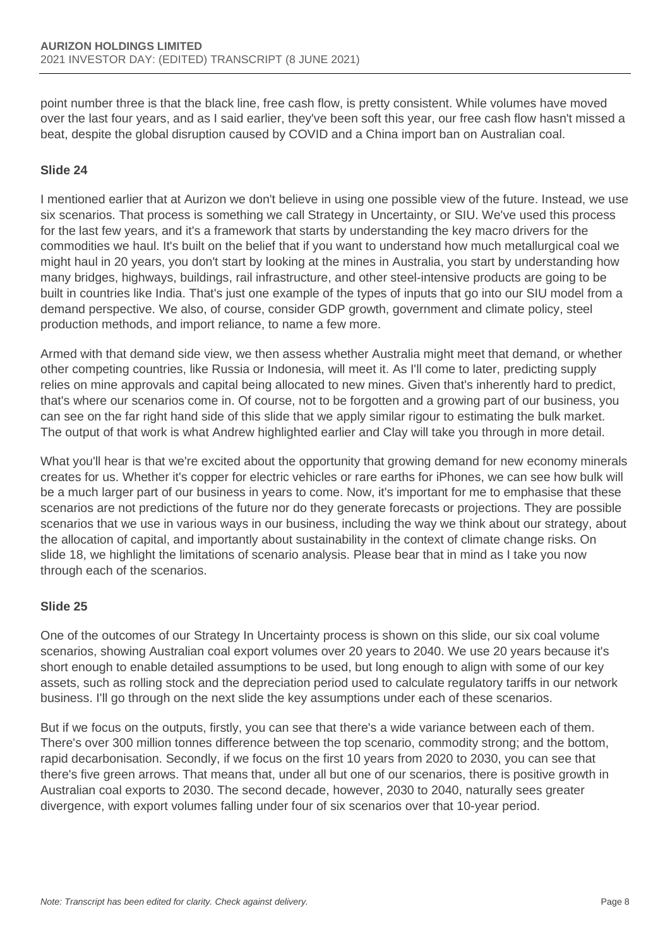point number three is that the black line, free cash flow, is pretty consistent. While volumes have moved over the last four years, and as I said earlier, they've been soft this year, our free cash flow hasn't missed a beat, despite the global disruption caused by COVID and a China import ban on Australian coal.

### **Slide 24**

I mentioned earlier that at Aurizon we don't believe in using one possible view of the future. Instead, we use six scenarios. That process is something we call Strategy in Uncertainty, or SIU. We've used this process for the last few years, and it's a framework that starts by understanding the key macro drivers for the commodities we haul. It's built on the belief that if you want to understand how much metallurgical coal we might haul in 20 years, you don't start by looking at the mines in Australia, you start by understanding how many bridges, highways, buildings, rail infrastructure, and other steel-intensive products are going to be built in countries like India. That's just one example of the types of inputs that go into our SIU model from a demand perspective. We also, of course, consider GDP growth, government and climate policy, steel production methods, and import reliance, to name a few more.

Armed with that demand side view, we then assess whether Australia might meet that demand, or whether other competing countries, like Russia or Indonesia, will meet it. As I'll come to later, predicting supply relies on mine approvals and capital being allocated to new mines. Given that's inherently hard to predict, that's where our scenarios come in. Of course, not to be forgotten and a growing part of our business, you can see on the far right hand side of this slide that we apply similar rigour to estimating the bulk market. The output of that work is what Andrew highlighted earlier and Clay will take you through in more detail.

What you'll hear is that we're excited about the opportunity that growing demand for new economy minerals creates for us. Whether it's copper for electric vehicles or rare earths for iPhones, we can see how bulk will be a much larger part of our business in years to come. Now, it's important for me to emphasise that these scenarios are not predictions of the future nor do they generate forecasts or projections. They are possible scenarios that we use in various ways in our business, including the way we think about our strategy, about the allocation of capital, and importantly about sustainability in the context of climate change risks. On slide 18, we highlight the limitations of scenario analysis. Please bear that in mind as I take you now through each of the scenarios.

#### **Slide 25**

One of the outcomes of our Strategy In Uncertainty process is shown on this slide, our six coal volume scenarios, showing Australian coal export volumes over 20 years to 2040. We use 20 years because it's short enough to enable detailed assumptions to be used, but long enough to align with some of our key assets, such as rolling stock and the depreciation period used to calculate regulatory tariffs in our network business. I'll go through on the next slide the key assumptions under each of these scenarios.

But if we focus on the outputs, firstly, you can see that there's a wide variance between each of them. There's over 300 million tonnes difference between the top scenario, commodity strong; and the bottom, rapid decarbonisation. Secondly, if we focus on the first 10 years from 2020 to 2030, you can see that there's five green arrows. That means that, under all but one of our scenarios, there is positive growth in Australian coal exports to 2030. The second decade, however, 2030 to 2040, naturally sees greater divergence, with export volumes falling under four of six scenarios over that 10-year period.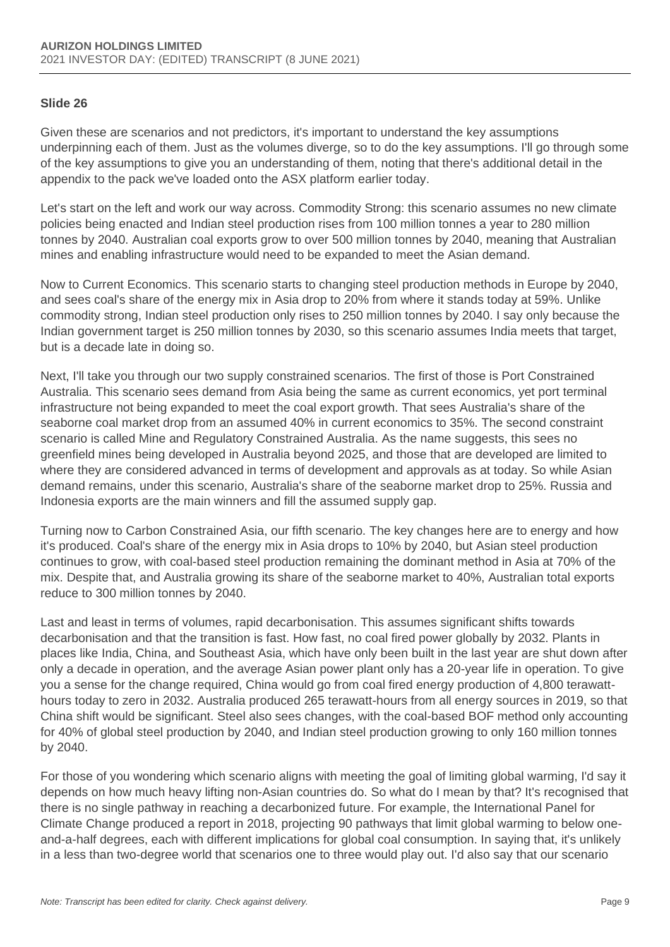#### **Slide 26**

Given these are scenarios and not predictors, it's important to understand the key assumptions underpinning each of them. Just as the volumes diverge, so to do the key assumptions. I'll go through some of the key assumptions to give you an understanding of them, noting that there's additional detail in the appendix to the pack we've loaded onto the ASX platform earlier today.

Let's start on the left and work our way across. Commodity Strong: this scenario assumes no new climate policies being enacted and Indian steel production rises from 100 million tonnes a year to 280 million tonnes by 2040. Australian coal exports grow to over 500 million tonnes by 2040, meaning that Australian mines and enabling infrastructure would need to be expanded to meet the Asian demand.

Now to Current Economics. This scenario starts to changing steel production methods in Europe by 2040, and sees coal's share of the energy mix in Asia drop to 20% from where it stands today at 59%. Unlike commodity strong, Indian steel production only rises to 250 million tonnes by 2040. I say only because the Indian government target is 250 million tonnes by 2030, so this scenario assumes India meets that target, but is a decade late in doing so.

Next, I'll take you through our two supply constrained scenarios. The first of those is Port Constrained Australia. This scenario sees demand from Asia being the same as current economics, yet port terminal infrastructure not being expanded to meet the coal export growth. That sees Australia's share of the seaborne coal market drop from an assumed 40% in current economics to 35%. The second constraint scenario is called Mine and Regulatory Constrained Australia. As the name suggests, this sees no greenfield mines being developed in Australia beyond 2025, and those that are developed are limited to where they are considered advanced in terms of development and approvals as at today. So while Asian demand remains, under this scenario, Australia's share of the seaborne market drop to 25%. Russia and Indonesia exports are the main winners and fill the assumed supply gap.

Turning now to Carbon Constrained Asia, our fifth scenario. The key changes here are to energy and how it's produced. Coal's share of the energy mix in Asia drops to 10% by 2040, but Asian steel production continues to grow, with coal-based steel production remaining the dominant method in Asia at 70% of the mix. Despite that, and Australia growing its share of the seaborne market to 40%, Australian total exports reduce to 300 million tonnes by 2040.

Last and least in terms of volumes, rapid decarbonisation. This assumes significant shifts towards decarbonisation and that the transition is fast. How fast, no coal fired power globally by 2032. Plants in places like India, China, and Southeast Asia, which have only been built in the last year are shut down after only a decade in operation, and the average Asian power plant only has a 20-year life in operation. To give you a sense for the change required, China would go from coal fired energy production of 4,800 terawatthours today to zero in 2032. Australia produced 265 terawatt-hours from all energy sources in 2019, so that China shift would be significant. Steel also sees changes, with the coal-based BOF method only accounting for 40% of global steel production by 2040, and Indian steel production growing to only 160 million tonnes by 2040.

For those of you wondering which scenario aligns with meeting the goal of limiting global warming, I'd say it depends on how much heavy lifting non-Asian countries do. So what do I mean by that? It's recognised that there is no single pathway in reaching a decarbonized future. For example, the International Panel for Climate Change produced a report in 2018, projecting 90 pathways that limit global warming to below oneand-a-half degrees, each with different implications for global coal consumption. In saying that, it's unlikely in a less than two-degree world that scenarios one to three would play out. I'd also say that our scenario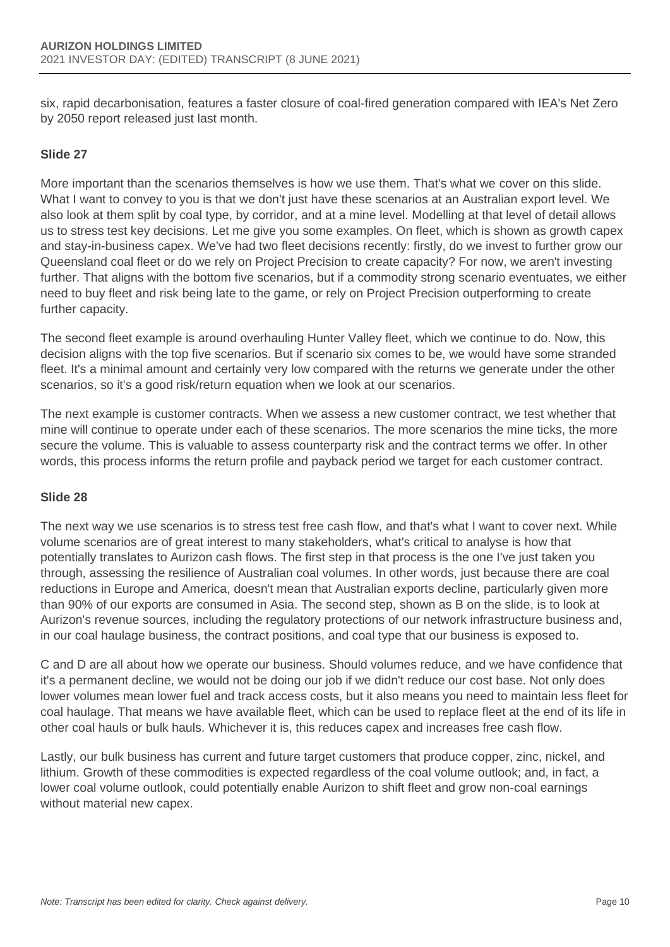six, rapid decarbonisation, features a faster closure of coal-fired generation compared with IEA's Net Zero by 2050 report released just last month.

## **Slide 27**

More important than the scenarios themselves is how we use them. That's what we cover on this slide. What I want to convey to you is that we don't just have these scenarios at an Australian export level. We also look at them split by coal type, by corridor, and at a mine level. Modelling at that level of detail allows us to stress test key decisions. Let me give you some examples. On fleet, which is shown as growth capex and stay-in-business capex. We've had two fleet decisions recently: firstly, do we invest to further grow our Queensland coal fleet or do we rely on Project Precision to create capacity? For now, we aren't investing further. That aligns with the bottom five scenarios, but if a commodity strong scenario eventuates, we either need to buy fleet and risk being late to the game, or rely on Project Precision outperforming to create further capacity.

The second fleet example is around overhauling Hunter Valley fleet, which we continue to do. Now, this decision aligns with the top five scenarios. But if scenario six comes to be, we would have some stranded fleet. It's a minimal amount and certainly very low compared with the returns we generate under the other scenarios, so it's a good risk/return equation when we look at our scenarios.

The next example is customer contracts. When we assess a new customer contract, we test whether that mine will continue to operate under each of these scenarios. The more scenarios the mine ticks, the more secure the volume. This is valuable to assess counterparty risk and the contract terms we offer. In other words, this process informs the return profile and payback period we target for each customer contract.

#### **Slide 28**

The next way we use scenarios is to stress test free cash flow, and that's what I want to cover next. While volume scenarios are of great interest to many stakeholders, what's critical to analyse is how that potentially translates to Aurizon cash flows. The first step in that process is the one I've just taken you through, assessing the resilience of Australian coal volumes. In other words, just because there are coal reductions in Europe and America, doesn't mean that Australian exports decline, particularly given more than 90% of our exports are consumed in Asia. The second step, shown as B on the slide, is to look at Aurizon's revenue sources, including the regulatory protections of our network infrastructure business and, in our coal haulage business, the contract positions, and coal type that our business is exposed to.

C and D are all about how we operate our business. Should volumes reduce, and we have confidence that it's a permanent decline, we would not be doing our job if we didn't reduce our cost base. Not only does lower volumes mean lower fuel and track access costs, but it also means you need to maintain less fleet for coal haulage. That means we have available fleet, which can be used to replace fleet at the end of its life in other coal hauls or bulk hauls. Whichever it is, this reduces capex and increases free cash flow.

Lastly, our bulk business has current and future target customers that produce copper, zinc, nickel, and lithium. Growth of these commodities is expected regardless of the coal volume outlook; and, in fact, a lower coal volume outlook, could potentially enable Aurizon to shift fleet and grow non-coal earnings without material new capex.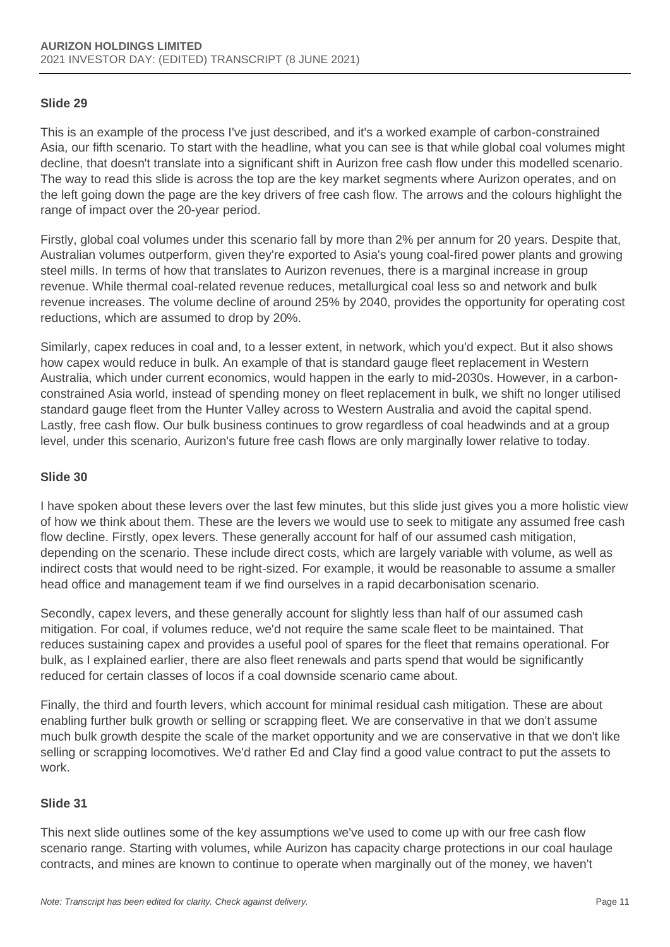#### **Slide 29**

This is an example of the process I've just described, and it's a worked example of carbon-constrained Asia, our fifth scenario. To start with the headline, what you can see is that while global coal volumes might decline, that doesn't translate into a significant shift in Aurizon free cash flow under this modelled scenario. The way to read this slide is across the top are the key market segments where Aurizon operates, and on the left going down the page are the key drivers of free cash flow. The arrows and the colours highlight the range of impact over the 20-year period.

Firstly, global coal volumes under this scenario fall by more than 2% per annum for 20 years. Despite that, Australian volumes outperform, given they're exported to Asia's young coal-fired power plants and growing steel mills. In terms of how that translates to Aurizon revenues, there is a marginal increase in group revenue. While thermal coal-related revenue reduces, metallurgical coal less so and network and bulk revenue increases. The volume decline of around 25% by 2040, provides the opportunity for operating cost reductions, which are assumed to drop by 20%.

Similarly, capex reduces in coal and, to a lesser extent, in network, which you'd expect. But it also shows how capex would reduce in bulk. An example of that is standard gauge fleet replacement in Western Australia, which under current economics, would happen in the early to mid-2030s. However, in a carbonconstrained Asia world, instead of spending money on fleet replacement in bulk, we shift no longer utilised standard gauge fleet from the Hunter Valley across to Western Australia and avoid the capital spend. Lastly, free cash flow. Our bulk business continues to grow regardless of coal headwinds and at a group level, under this scenario, Aurizon's future free cash flows are only marginally lower relative to today.

#### **Slide 30**

I have spoken about these levers over the last few minutes, but this slide just gives you a more holistic view of how we think about them. These are the levers we would use to seek to mitigate any assumed free cash flow decline. Firstly, opex levers. These generally account for half of our assumed cash mitigation, depending on the scenario. These include direct costs, which are largely variable with volume, as well as indirect costs that would need to be right-sized. For example, it would be reasonable to assume a smaller head office and management team if we find ourselves in a rapid decarbonisation scenario.

Secondly, capex levers, and these generally account for slightly less than half of our assumed cash mitigation. For coal, if volumes reduce, we'd not require the same scale fleet to be maintained. That reduces sustaining capex and provides a useful pool of spares for the fleet that remains operational. For bulk, as I explained earlier, there are also fleet renewals and parts spend that would be significantly reduced for certain classes of locos if a coal downside scenario came about.

Finally, the third and fourth levers, which account for minimal residual cash mitigation. These are about enabling further bulk growth or selling or scrapping fleet. We are conservative in that we don't assume much bulk growth despite the scale of the market opportunity and we are conservative in that we don't like selling or scrapping locomotives. We'd rather Ed and Clay find a good value contract to put the assets to work.

## **Slide 31**

This next slide outlines some of the key assumptions we've used to come up with our free cash flow scenario range. Starting with volumes, while Aurizon has capacity charge protections in our coal haulage contracts, and mines are known to continue to operate when marginally out of the money, we haven't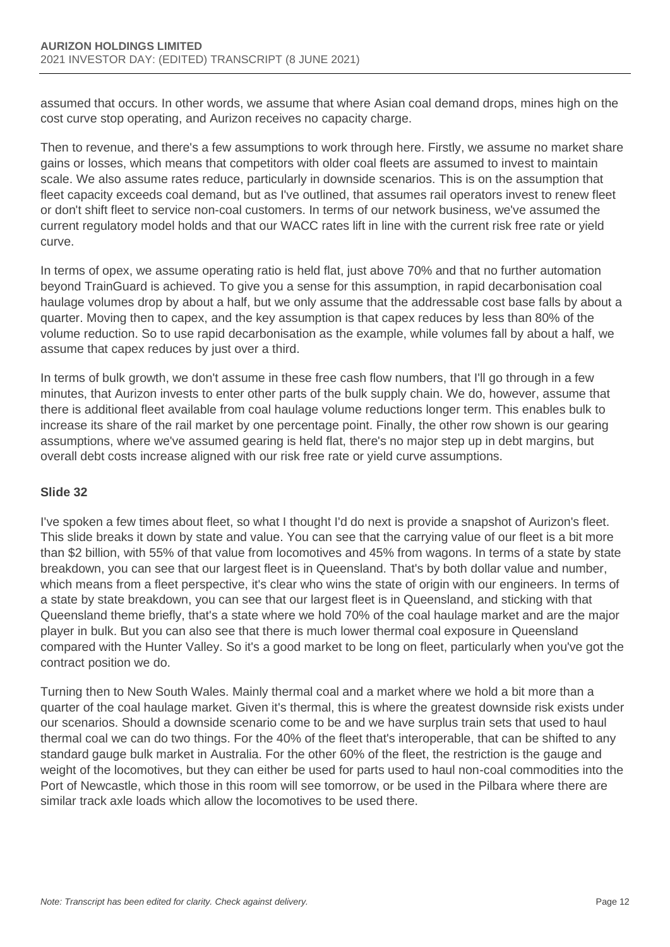assumed that occurs. In other words, we assume that where Asian coal demand drops, mines high on the cost curve stop operating, and Aurizon receives no capacity charge.

Then to revenue, and there's a few assumptions to work through here. Firstly, we assume no market share gains or losses, which means that competitors with older coal fleets are assumed to invest to maintain scale. We also assume rates reduce, particularly in downside scenarios. This is on the assumption that fleet capacity exceeds coal demand, but as I've outlined, that assumes rail operators invest to renew fleet or don't shift fleet to service non-coal customers. In terms of our network business, we've assumed the current regulatory model holds and that our WACC rates lift in line with the current risk free rate or yield curve.

In terms of opex, we assume operating ratio is held flat, just above 70% and that no further automation beyond TrainGuard is achieved. To give you a sense for this assumption, in rapid decarbonisation coal haulage volumes drop by about a half, but we only assume that the addressable cost base falls by about a quarter. Moving then to capex, and the key assumption is that capex reduces by less than 80% of the volume reduction. So to use rapid decarbonisation as the example, while volumes fall by about a half, we assume that capex reduces by just over a third.

In terms of bulk growth, we don't assume in these free cash flow numbers, that I'll go through in a few minutes, that Aurizon invests to enter other parts of the bulk supply chain. We do, however, assume that there is additional fleet available from coal haulage volume reductions longer term. This enables bulk to increase its share of the rail market by one percentage point. Finally, the other row shown is our gearing assumptions, where we've assumed gearing is held flat, there's no major step up in debt margins, but overall debt costs increase aligned with our risk free rate or yield curve assumptions.

## **Slide 32**

I've spoken a few times about fleet, so what I thought I'd do next is provide a snapshot of Aurizon's fleet. This slide breaks it down by state and value. You can see that the carrying value of our fleet is a bit more than \$2 billion, with 55% of that value from locomotives and 45% from wagons. In terms of a state by state breakdown, you can see that our largest fleet is in Queensland. That's by both dollar value and number, which means from a fleet perspective, it's clear who wins the state of origin with our engineers. In terms of a state by state breakdown, you can see that our largest fleet is in Queensland, and sticking with that Queensland theme briefly, that's a state where we hold 70% of the coal haulage market and are the major player in bulk. But you can also see that there is much lower thermal coal exposure in Queensland compared with the Hunter Valley. So it's a good market to be long on fleet, particularly when you've got the contract position we do.

Turning then to New South Wales. Mainly thermal coal and a market where we hold a bit more than a quarter of the coal haulage market. Given it's thermal, this is where the greatest downside risk exists under our scenarios. Should a downside scenario come to be and we have surplus train sets that used to haul thermal coal we can do two things. For the 40% of the fleet that's interoperable, that can be shifted to any standard gauge bulk market in Australia. For the other 60% of the fleet, the restriction is the gauge and weight of the locomotives, but they can either be used for parts used to haul non-coal commodities into the Port of Newcastle, which those in this room will see tomorrow, or be used in the Pilbara where there are similar track axle loads which allow the locomotives to be used there.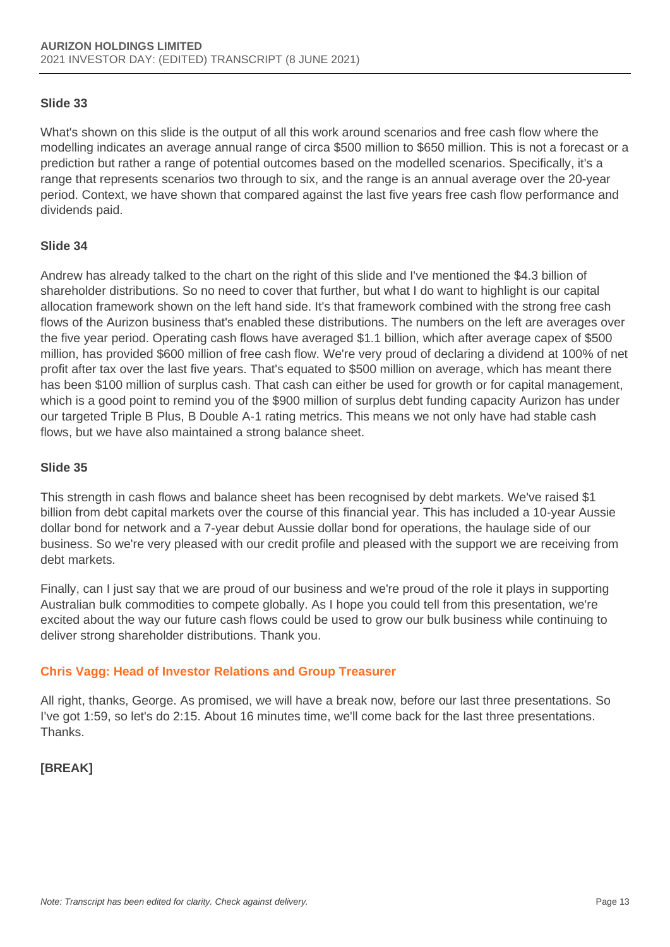#### **Slide 33**

What's shown on this slide is the output of all this work around scenarios and free cash flow where the modelling indicates an average annual range of circa \$500 million to \$650 million. This is not a forecast or a prediction but rather a range of potential outcomes based on the modelled scenarios. Specifically, it's a range that represents scenarios two through to six, and the range is an annual average over the 20-year period. Context, we have shown that compared against the last five years free cash flow performance and dividends paid.

#### **Slide 34**

Andrew has already talked to the chart on the right of this slide and I've mentioned the \$4.3 billion of shareholder distributions. So no need to cover that further, but what I do want to highlight is our capital allocation framework shown on the left hand side. It's that framework combined with the strong free cash flows of the Aurizon business that's enabled these distributions. The numbers on the left are averages over the five year period. Operating cash flows have averaged \$1.1 billion, which after average capex of \$500 million, has provided \$600 million of free cash flow. We're very proud of declaring a dividend at 100% of net profit after tax over the last five years. That's equated to \$500 million on average, which has meant there has been \$100 million of surplus cash. That cash can either be used for growth or for capital management, which is a good point to remind you of the \$900 million of surplus debt funding capacity Aurizon has under our targeted Triple B Plus, B Double A-1 rating metrics. This means we not only have had stable cash flows, but we have also maintained a strong balance sheet.

### **Slide 35**

This strength in cash flows and balance sheet has been recognised by debt markets. We've raised \$1 billion from debt capital markets over the course of this financial year. This has included a 10-year Aussie dollar bond for network and a 7-year debut Aussie dollar bond for operations, the haulage side of our business. So we're very pleased with our credit profile and pleased with the support we are receiving from debt markets.

Finally, can I just say that we are proud of our business and we're proud of the role it plays in supporting Australian bulk commodities to compete globally. As I hope you could tell from this presentation, we're excited about the way our future cash flows could be used to grow our bulk business while continuing to deliver strong shareholder distributions. Thank you.

## **Chris Vagg: Head of Investor Relations and Group Treasurer**

All right, thanks, George. As promised, we will have a break now, before our last three presentations. So I've got 1:59, so let's do 2:15. About 16 minutes time, we'll come back for the last three presentations. Thanks.

## **[BREAK]**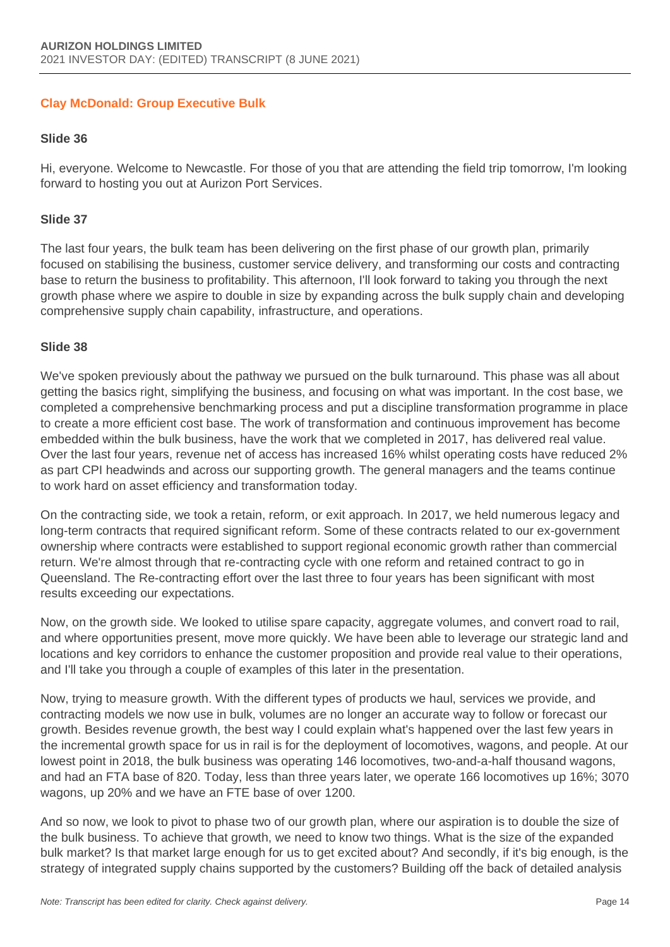## **Clay McDonald: Group Executive Bulk**

#### **Slide 36**

Hi, everyone. Welcome to Newcastle. For those of you that are attending the field trip tomorrow, I'm looking forward to hosting you out at Aurizon Port Services.

#### **Slide 37**

The last four years, the bulk team has been delivering on the first phase of our growth plan, primarily focused on stabilising the business, customer service delivery, and transforming our costs and contracting base to return the business to profitability. This afternoon, I'll look forward to taking you through the next growth phase where we aspire to double in size by expanding across the bulk supply chain and developing comprehensive supply chain capability, infrastructure, and operations.

#### **Slide 38**

We've spoken previously about the pathway we pursued on the bulk turnaround. This phase was all about getting the basics right, simplifying the business, and focusing on what was important. In the cost base, we completed a comprehensive benchmarking process and put a discipline transformation programme in place to create a more efficient cost base. The work of transformation and continuous improvement has become embedded within the bulk business, have the work that we completed in 2017, has delivered real value. Over the last four years, revenue net of access has increased 16% whilst operating costs have reduced 2% as part CPI headwinds and across our supporting growth. The general managers and the teams continue to work hard on asset efficiency and transformation today.

On the contracting side, we took a retain, reform, or exit approach. In 2017, we held numerous legacy and long-term contracts that required significant reform. Some of these contracts related to our ex-government ownership where contracts were established to support regional economic growth rather than commercial return. We're almost through that re-contracting cycle with one reform and retained contract to go in Queensland. The Re-contracting effort over the last three to four years has been significant with most results exceeding our expectations.

Now, on the growth side. We looked to utilise spare capacity, aggregate volumes, and convert road to rail, and where opportunities present, move more quickly. We have been able to leverage our strategic land and locations and key corridors to enhance the customer proposition and provide real value to their operations, and I'll take you through a couple of examples of this later in the presentation.

Now, trying to measure growth. With the different types of products we haul, services we provide, and contracting models we now use in bulk, volumes are no longer an accurate way to follow or forecast our growth. Besides revenue growth, the best way I could explain what's happened over the last few years in the incremental growth space for us in rail is for the deployment of locomotives, wagons, and people. At our lowest point in 2018, the bulk business was operating 146 locomotives, two-and-a-half thousand wagons, and had an FTA base of 820. Today, less than three years later, we operate 166 locomotives up 16%; 3070 wagons, up 20% and we have an FTE base of over 1200.

And so now, we look to pivot to phase two of our growth plan, where our aspiration is to double the size of the bulk business. To achieve that growth, we need to know two things. What is the size of the expanded bulk market? Is that market large enough for us to get excited about? And secondly, if it's big enough, is the strategy of integrated supply chains supported by the customers? Building off the back of detailed analysis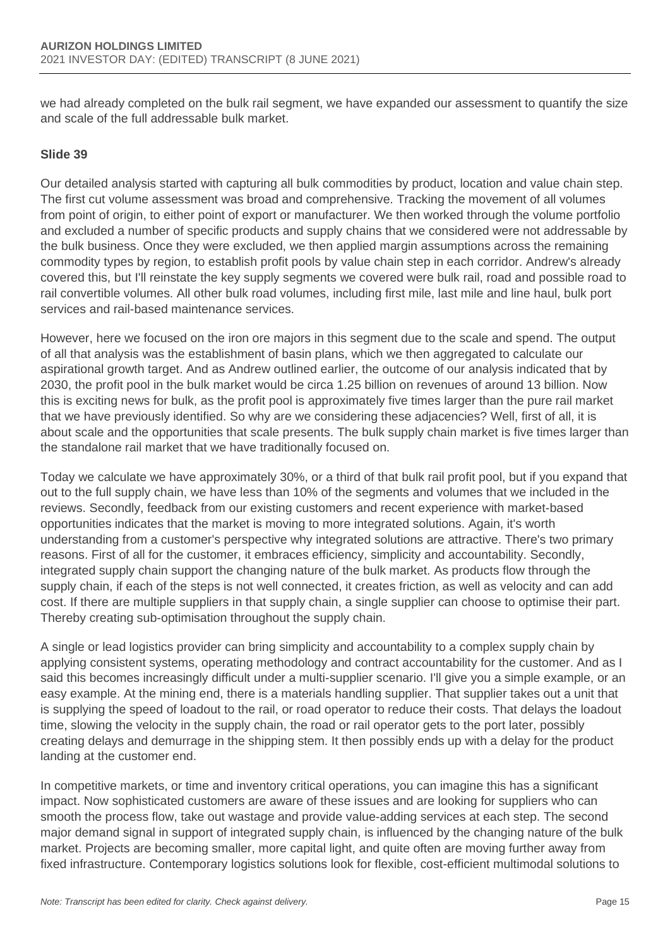we had already completed on the bulk rail segment, we have expanded our assessment to quantify the size and scale of the full addressable bulk market.

### **Slide 39**

Our detailed analysis started with capturing all bulk commodities by product, location and value chain step. The first cut volume assessment was broad and comprehensive. Tracking the movement of all volumes from point of origin, to either point of export or manufacturer. We then worked through the volume portfolio and excluded a number of specific products and supply chains that we considered were not addressable by the bulk business. Once they were excluded, we then applied margin assumptions across the remaining commodity types by region, to establish profit pools by value chain step in each corridor. Andrew's already covered this, but I'll reinstate the key supply segments we covered were bulk rail, road and possible road to rail convertible volumes. All other bulk road volumes, including first mile, last mile and line haul, bulk port services and rail-based maintenance services.

However, here we focused on the iron ore majors in this segment due to the scale and spend. The output of all that analysis was the establishment of basin plans, which we then aggregated to calculate our aspirational growth target. And as Andrew outlined earlier, the outcome of our analysis indicated that by 2030, the profit pool in the bulk market would be circa 1.25 billion on revenues of around 13 billion. Now this is exciting news for bulk, as the profit pool is approximately five times larger than the pure rail market that we have previously identified. So why are we considering these adjacencies? Well, first of all, it is about scale and the opportunities that scale presents. The bulk supply chain market is five times larger than the standalone rail market that we have traditionally focused on.

Today we calculate we have approximately 30%, or a third of that bulk rail profit pool, but if you expand that out to the full supply chain, we have less than 10% of the segments and volumes that we included in the reviews. Secondly, feedback from our existing customers and recent experience with market-based opportunities indicates that the market is moving to more integrated solutions. Again, it's worth understanding from a customer's perspective why integrated solutions are attractive. There's two primary reasons. First of all for the customer, it embraces efficiency, simplicity and accountability. Secondly, integrated supply chain support the changing nature of the bulk market. As products flow through the supply chain, if each of the steps is not well connected, it creates friction, as well as velocity and can add cost. If there are multiple suppliers in that supply chain, a single supplier can choose to optimise their part. Thereby creating sub-optimisation throughout the supply chain.

A single or lead logistics provider can bring simplicity and accountability to a complex supply chain by applying consistent systems, operating methodology and contract accountability for the customer. And as I said this becomes increasingly difficult under a multi-supplier scenario. I'll give you a simple example, or an easy example. At the mining end, there is a materials handling supplier. That supplier takes out a unit that is supplying the speed of loadout to the rail, or road operator to reduce their costs. That delays the loadout time, slowing the velocity in the supply chain, the road or rail operator gets to the port later, possibly creating delays and demurrage in the shipping stem. It then possibly ends up with a delay for the product landing at the customer end.

In competitive markets, or time and inventory critical operations, you can imagine this has a significant impact. Now sophisticated customers are aware of these issues and are looking for suppliers who can smooth the process flow, take out wastage and provide value-adding services at each step. The second major demand signal in support of integrated supply chain, is influenced by the changing nature of the bulk market. Projects are becoming smaller, more capital light, and quite often are moving further away from fixed infrastructure. Contemporary logistics solutions look for flexible, cost-efficient multimodal solutions to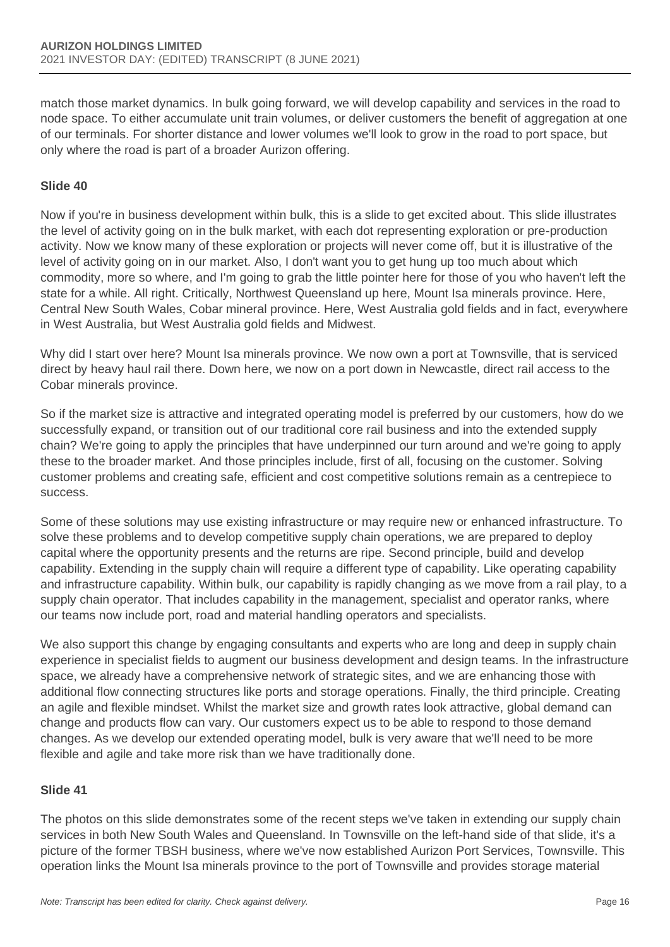match those market dynamics. In bulk going forward, we will develop capability and services in the road to node space. To either accumulate unit train volumes, or deliver customers the benefit of aggregation at one of our terminals. For shorter distance and lower volumes we'll look to grow in the road to port space, but only where the road is part of a broader Aurizon offering.

## **Slide 40**

Now if you're in business development within bulk, this is a slide to get excited about. This slide illustrates the level of activity going on in the bulk market, with each dot representing exploration or pre-production activity. Now we know many of these exploration or projects will never come off, but it is illustrative of the level of activity going on in our market. Also, I don't want you to get hung up too much about which commodity, more so where, and I'm going to grab the little pointer here for those of you who haven't left the state for a while. All right. Critically, Northwest Queensland up here, Mount Isa minerals province. Here, Central New South Wales, Cobar mineral province. Here, West Australia gold fields and in fact, everywhere in West Australia, but West Australia gold fields and Midwest.

Why did I start over here? Mount Isa minerals province. We now own a port at Townsville, that is serviced direct by heavy haul rail there. Down here, we now on a port down in Newcastle, direct rail access to the Cobar minerals province.

So if the market size is attractive and integrated operating model is preferred by our customers, how do we successfully expand, or transition out of our traditional core rail business and into the extended supply chain? We're going to apply the principles that have underpinned our turn around and we're going to apply these to the broader market. And those principles include, first of all, focusing on the customer. Solving customer problems and creating safe, efficient and cost competitive solutions remain as a centrepiece to success.

Some of these solutions may use existing infrastructure or may require new or enhanced infrastructure. To solve these problems and to develop competitive supply chain operations, we are prepared to deploy capital where the opportunity presents and the returns are ripe. Second principle, build and develop capability. Extending in the supply chain will require a different type of capability. Like operating capability and infrastructure capability. Within bulk, our capability is rapidly changing as we move from a rail play, to a supply chain operator. That includes capability in the management, specialist and operator ranks, where our teams now include port, road and material handling operators and specialists.

We also support this change by engaging consultants and experts who are long and deep in supply chain experience in specialist fields to augment our business development and design teams. In the infrastructure space, we already have a comprehensive network of strategic sites, and we are enhancing those with additional flow connecting structures like ports and storage operations. Finally, the third principle. Creating an agile and flexible mindset. Whilst the market size and growth rates look attractive, global demand can change and products flow can vary. Our customers expect us to be able to respond to those demand changes. As we develop our extended operating model, bulk is very aware that we'll need to be more flexible and agile and take more risk than we have traditionally done.

#### **Slide 41**

The photos on this slide demonstrates some of the recent steps we've taken in extending our supply chain services in both New South Wales and Queensland. In Townsville on the left-hand side of that slide, it's a picture of the former TBSH business, where we've now established Aurizon Port Services, Townsville. This operation links the Mount Isa minerals province to the port of Townsville and provides storage material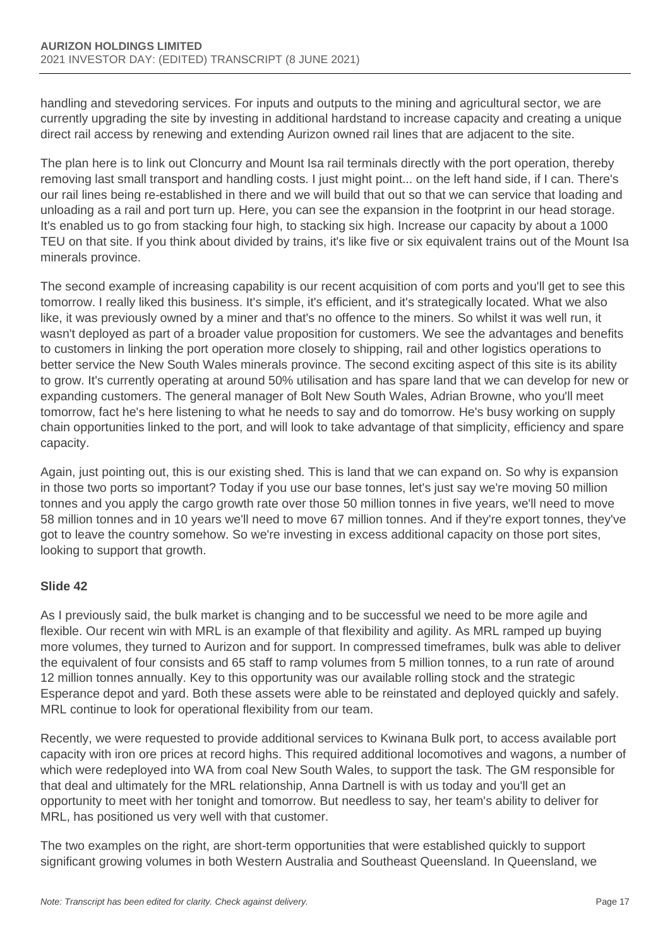handling and stevedoring services. For inputs and outputs to the mining and agricultural sector, we are currently upgrading the site by investing in additional hardstand to increase capacity and creating a unique direct rail access by renewing and extending Aurizon owned rail lines that are adjacent to the site.

The plan here is to link out Cloncurry and Mount Isa rail terminals directly with the port operation, thereby removing last small transport and handling costs. I just might point... on the left hand side, if I can. There's our rail lines being re-established in there and we will build that out so that we can service that loading and unloading as a rail and port turn up. Here, you can see the expansion in the footprint in our head storage. It's enabled us to go from stacking four high, to stacking six high. Increase our capacity by about a 1000 TEU on that site. If you think about divided by trains, it's like five or six equivalent trains out of the Mount Isa minerals province.

The second example of increasing capability is our recent acquisition of com ports and you'll get to see this tomorrow. I really liked this business. It's simple, it's efficient, and it's strategically located. What we also like, it was previously owned by a miner and that's no offence to the miners. So whilst it was well run, it wasn't deployed as part of a broader value proposition for customers. We see the advantages and benefits to customers in linking the port operation more closely to shipping, rail and other logistics operations to better service the New South Wales minerals province. The second exciting aspect of this site is its ability to grow. It's currently operating at around 50% utilisation and has spare land that we can develop for new or expanding customers. The general manager of Bolt New South Wales, Adrian Browne, who you'll meet tomorrow, fact he's here listening to what he needs to say and do tomorrow. He's busy working on supply chain opportunities linked to the port, and will look to take advantage of that simplicity, efficiency and spare capacity.

Again, just pointing out, this is our existing shed. This is land that we can expand on. So why is expansion in those two ports so important? Today if you use our base tonnes, let's just say we're moving 50 million tonnes and you apply the cargo growth rate over those 50 million tonnes in five years, we'll need to move 58 million tonnes and in 10 years we'll need to move 67 million tonnes. And if they're export tonnes, they've got to leave the country somehow. So we're investing in excess additional capacity on those port sites, looking to support that growth.

## **Slide 42**

As I previously said, the bulk market is changing and to be successful we need to be more agile and flexible. Our recent win with MRL is an example of that flexibility and agility. As MRL ramped up buying more volumes, they turned to Aurizon and for support. In compressed timeframes, bulk was able to deliver the equivalent of four consists and 65 staff to ramp volumes from 5 million tonnes, to a run rate of around 12 million tonnes annually. Key to this opportunity was our available rolling stock and the strategic Esperance depot and yard. Both these assets were able to be reinstated and deployed quickly and safely. MRL continue to look for operational flexibility from our team.

Recently, we were requested to provide additional services to Kwinana Bulk port, to access available port capacity with iron ore prices at record highs. This required additional locomotives and wagons, a number of which were redeployed into WA from coal New South Wales, to support the task. The GM responsible for that deal and ultimately for the MRL relationship, Anna Dartnell is with us today and you'll get an opportunity to meet with her tonight and tomorrow. But needless to say, her team's ability to deliver for MRL, has positioned us very well with that customer.

The two examples on the right, are short-term opportunities that were established quickly to support significant growing volumes in both Western Australia and Southeast Queensland. In Queensland, we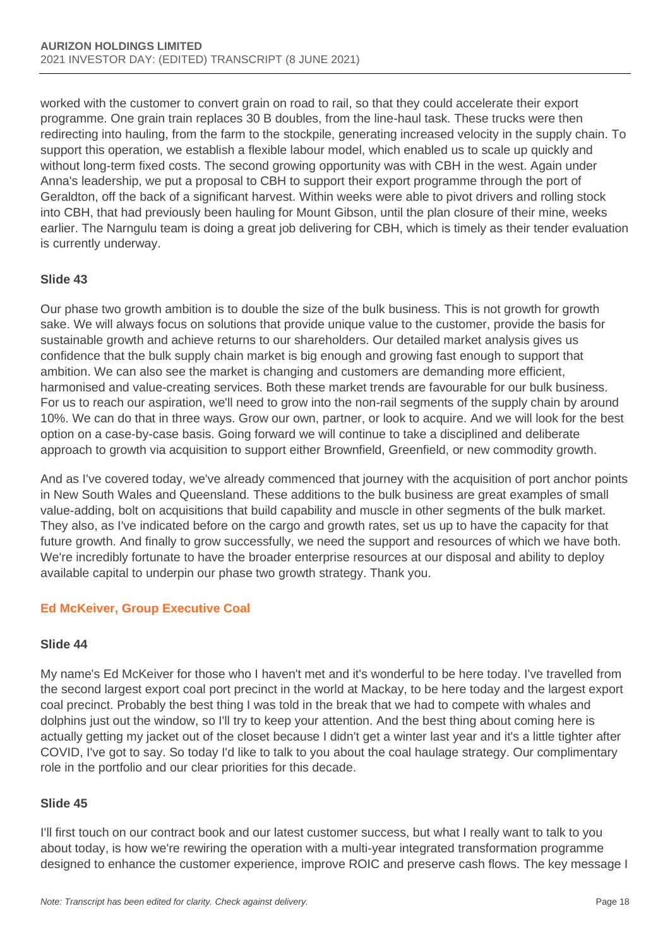worked with the customer to convert grain on road to rail, so that they could accelerate their export programme. One grain train replaces 30 B doubles, from the line-haul task. These trucks were then redirecting into hauling, from the farm to the stockpile, generating increased velocity in the supply chain. To support this operation, we establish a flexible labour model, which enabled us to scale up quickly and without long-term fixed costs. The second growing opportunity was with CBH in the west. Again under Anna's leadership, we put a proposal to CBH to support their export programme through the port of Geraldton, off the back of a significant harvest. Within weeks were able to pivot drivers and rolling stock into CBH, that had previously been hauling for Mount Gibson, until the plan closure of their mine, weeks earlier. The Narngulu team is doing a great job delivering for CBH, which is timely as their tender evaluation is currently underway.

## **Slide 43**

Our phase two growth ambition is to double the size of the bulk business. This is not growth for growth sake. We will always focus on solutions that provide unique value to the customer, provide the basis for sustainable growth and achieve returns to our shareholders. Our detailed market analysis gives us confidence that the bulk supply chain market is big enough and growing fast enough to support that ambition. We can also see the market is changing and customers are demanding more efficient, harmonised and value-creating services. Both these market trends are favourable for our bulk business. For us to reach our aspiration, we'll need to grow into the non-rail segments of the supply chain by around 10%. We can do that in three ways. Grow our own, partner, or look to acquire. And we will look for the best option on a case-by-case basis. Going forward we will continue to take a disciplined and deliberate approach to growth via acquisition to support either Brownfield, Greenfield, or new commodity growth.

And as I've covered today, we've already commenced that journey with the acquisition of port anchor points in New South Wales and Queensland. These additions to the bulk business are great examples of small value-adding, bolt on acquisitions that build capability and muscle in other segments of the bulk market. They also, as I've indicated before on the cargo and growth rates, set us up to have the capacity for that future growth. And finally to grow successfully, we need the support and resources of which we have both. We're incredibly fortunate to have the broader enterprise resources at our disposal and ability to deploy available capital to underpin our phase two growth strategy. Thank you.

# **Ed McKeiver, Group Executive Coal**

## **Slide 44**

My name's Ed McKeiver for those who I haven't met and it's wonderful to be here today. I've travelled from the second largest export coal port precinct in the world at Mackay, to be here today and the largest export coal precinct. Probably the best thing I was told in the break that we had to compete with whales and dolphins just out the window, so I'll try to keep your attention. And the best thing about coming here is actually getting my jacket out of the closet because I didn't get a winter last year and it's a little tighter after COVID, I've got to say. So today I'd like to talk to you about the coal haulage strategy. Our complimentary role in the portfolio and our clear priorities for this decade.

## **Slide 45**

I'll first touch on our contract book and our latest customer success, but what I really want to talk to you about today, is how we're rewiring the operation with a multi-year integrated transformation programme designed to enhance the customer experience, improve ROIC and preserve cash flows. The key message I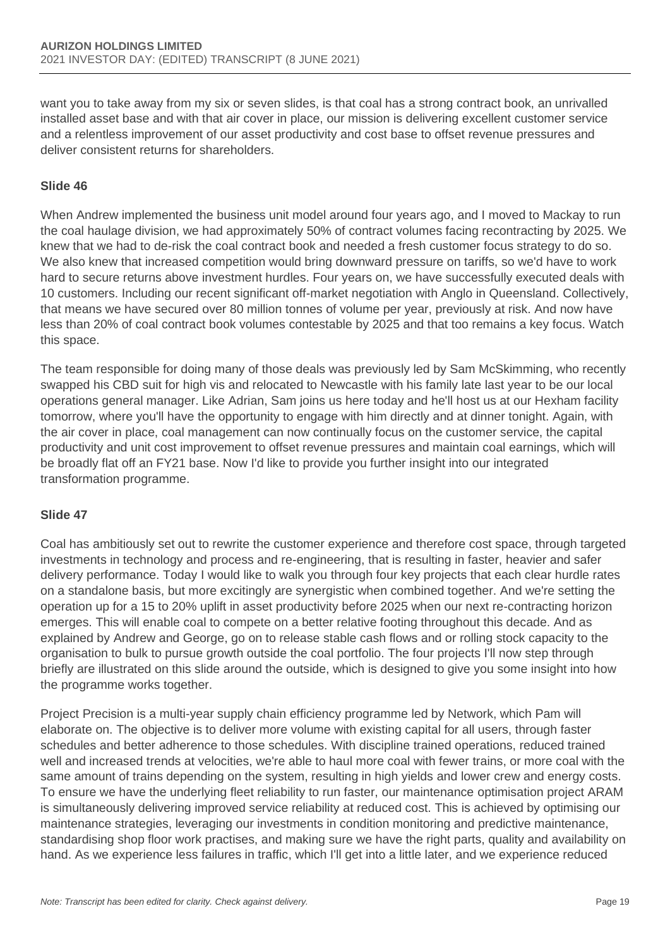want you to take away from my six or seven slides, is that coal has a strong contract book, an unrivalled installed asset base and with that air cover in place, our mission is delivering excellent customer service and a relentless improvement of our asset productivity and cost base to offset revenue pressures and deliver consistent returns for shareholders.

## **Slide 46**

When Andrew implemented the business unit model around four years ago, and I moved to Mackay to run the coal haulage division, we had approximately 50% of contract volumes facing recontracting by 2025. We knew that we had to de-risk the coal contract book and needed a fresh customer focus strategy to do so. We also knew that increased competition would bring downward pressure on tariffs, so we'd have to work hard to secure returns above investment hurdles. Four years on, we have successfully executed deals with 10 customers. Including our recent significant off-market negotiation with Anglo in Queensland. Collectively, that means we have secured over 80 million tonnes of volume per year, previously at risk. And now have less than 20% of coal contract book volumes contestable by 2025 and that too remains a key focus. Watch this space.

The team responsible for doing many of those deals was previously led by Sam McSkimming, who recently swapped his CBD suit for high vis and relocated to Newcastle with his family late last year to be our local operations general manager. Like Adrian, Sam joins us here today and he'll host us at our Hexham facility tomorrow, where you'll have the opportunity to engage with him directly and at dinner tonight. Again, with the air cover in place, coal management can now continually focus on the customer service, the capital productivity and unit cost improvement to offset revenue pressures and maintain coal earnings, which will be broadly flat off an FY21 base. Now I'd like to provide you further insight into our integrated transformation programme.

#### **Slide 47**

Coal has ambitiously set out to rewrite the customer experience and therefore cost space, through targeted investments in technology and process and re-engineering, that is resulting in faster, heavier and safer delivery performance. Today I would like to walk you through four key projects that each clear hurdle rates on a standalone basis, but more excitingly are synergistic when combined together. And we're setting the operation up for a 15 to 20% uplift in asset productivity before 2025 when our next re-contracting horizon emerges. This will enable coal to compete on a better relative footing throughout this decade. And as explained by Andrew and George, go on to release stable cash flows and or rolling stock capacity to the organisation to bulk to pursue growth outside the coal portfolio. The four projects I'll now step through briefly are illustrated on this slide around the outside, which is designed to give you some insight into how the programme works together.

Project Precision is a multi-year supply chain efficiency programme led by Network, which Pam will elaborate on. The objective is to deliver more volume with existing capital for all users, through faster schedules and better adherence to those schedules. With discipline trained operations, reduced trained well and increased trends at velocities, we're able to haul more coal with fewer trains, or more coal with the same amount of trains depending on the system, resulting in high yields and lower crew and energy costs. To ensure we have the underlying fleet reliability to run faster, our maintenance optimisation project ARAM is simultaneously delivering improved service reliability at reduced cost. This is achieved by optimising our maintenance strategies, leveraging our investments in condition monitoring and predictive maintenance, standardising shop floor work practises, and making sure we have the right parts, quality and availability on hand. As we experience less failures in traffic, which I'll get into a little later, and we experience reduced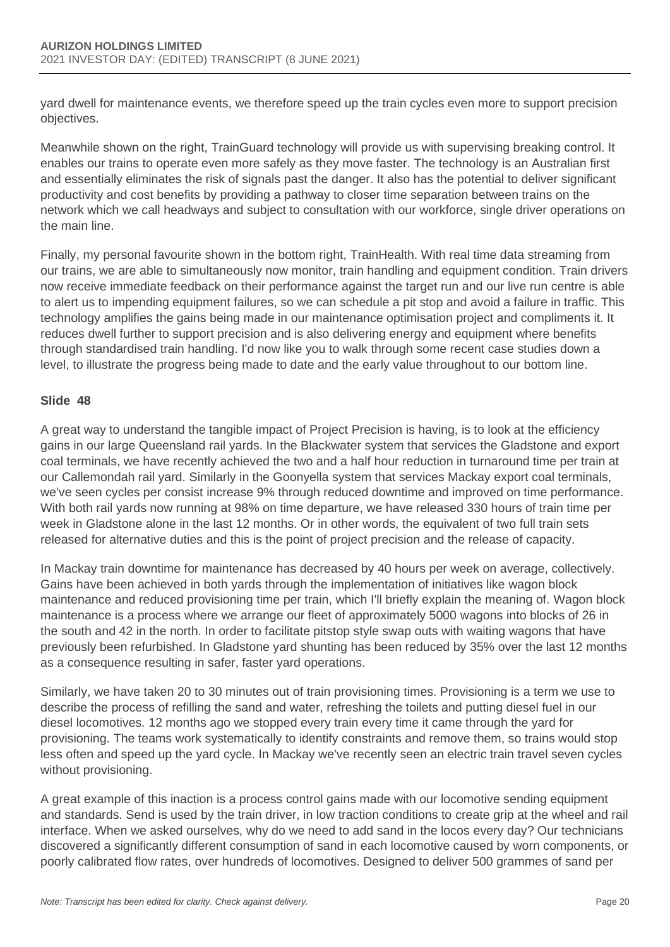yard dwell for maintenance events, we therefore speed up the train cycles even more to support precision objectives.

Meanwhile shown on the right, TrainGuard technology will provide us with supervising breaking control. It enables our trains to operate even more safely as they move faster. The technology is an Australian first and essentially eliminates the risk of signals past the danger. It also has the potential to deliver significant productivity and cost benefits by providing a pathway to closer time separation between trains on the network which we call headways and subject to consultation with our workforce, single driver operations on the main line.

Finally, my personal favourite shown in the bottom right, TrainHealth. With real time data streaming from our trains, we are able to simultaneously now monitor, train handling and equipment condition. Train drivers now receive immediate feedback on their performance against the target run and our live run centre is able to alert us to impending equipment failures, so we can schedule a pit stop and avoid a failure in traffic. This technology amplifies the gains being made in our maintenance optimisation project and compliments it. It reduces dwell further to support precision and is also delivering energy and equipment where benefits through standardised train handling. I'd now like you to walk through some recent case studies down a level, to illustrate the progress being made to date and the early value throughout to our bottom line.

### **Slide 48**

A great way to understand the tangible impact of Project Precision is having, is to look at the efficiency gains in our large Queensland rail yards. In the Blackwater system that services the Gladstone and export coal terminals, we have recently achieved the two and a half hour reduction in turnaround time per train at our Callemondah rail yard. Similarly in the Goonyella system that services Mackay export coal terminals, we've seen cycles per consist increase 9% through reduced downtime and improved on time performance. With both rail yards now running at 98% on time departure, we have released 330 hours of train time per week in Gladstone alone in the last 12 months. Or in other words, the equivalent of two full train sets released for alternative duties and this is the point of project precision and the release of capacity.

In Mackay train downtime for maintenance has decreased by 40 hours per week on average, collectively. Gains have been achieved in both yards through the implementation of initiatives like wagon block maintenance and reduced provisioning time per train, which I'll briefly explain the meaning of. Wagon block maintenance is a process where we arrange our fleet of approximately 5000 wagons into blocks of 26 in the south and 42 in the north. In order to facilitate pitstop style swap outs with waiting wagons that have previously been refurbished. In Gladstone yard shunting has been reduced by 35% over the last 12 months as a consequence resulting in safer, faster yard operations.

Similarly, we have taken 20 to 30 minutes out of train provisioning times. Provisioning is a term we use to describe the process of refilling the sand and water, refreshing the toilets and putting diesel fuel in our diesel locomotives. 12 months ago we stopped every train every time it came through the yard for provisioning. The teams work systematically to identify constraints and remove them, so trains would stop less often and speed up the yard cycle. In Mackay we've recently seen an electric train travel seven cycles without provisioning.

A great example of this inaction is a process control gains made with our locomotive sending equipment and standards. Send is used by the train driver, in low traction conditions to create grip at the wheel and rail interface. When we asked ourselves, why do we need to add sand in the locos every day? Our technicians discovered a significantly different consumption of sand in each locomotive caused by worn components, or poorly calibrated flow rates, over hundreds of locomotives. Designed to deliver 500 grammes of sand per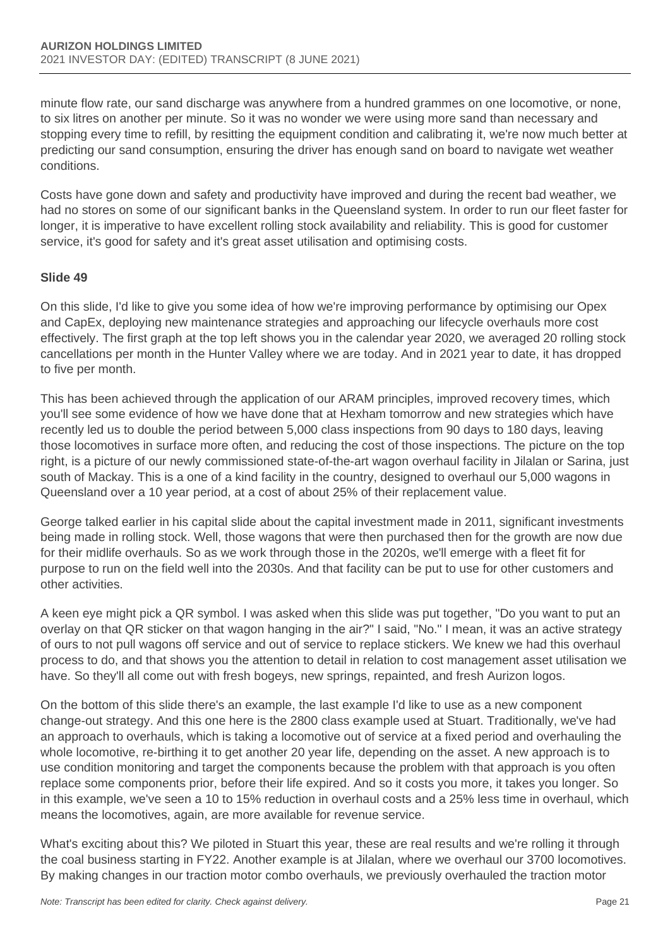minute flow rate, our sand discharge was anywhere from a hundred grammes on one locomotive, or none, to six litres on another per minute. So it was no wonder we were using more sand than necessary and stopping every time to refill, by resitting the equipment condition and calibrating it, we're now much better at predicting our sand consumption, ensuring the driver has enough sand on board to navigate wet weather conditions.

Costs have gone down and safety and productivity have improved and during the recent bad weather, we had no stores on some of our significant banks in the Queensland system. In order to run our fleet faster for longer, it is imperative to have excellent rolling stock availability and reliability. This is good for customer service, it's good for safety and it's great asset utilisation and optimising costs.

### **Slide 49**

On this slide, I'd like to give you some idea of how we're improving performance by optimising our Opex and CapEx, deploying new maintenance strategies and approaching our lifecycle overhauls more cost effectively. The first graph at the top left shows you in the calendar year 2020, we averaged 20 rolling stock cancellations per month in the Hunter Valley where we are today. And in 2021 year to date, it has dropped to five per month.

This has been achieved through the application of our ARAM principles, improved recovery times, which you'll see some evidence of how we have done that at Hexham tomorrow and new strategies which have recently led us to double the period between 5,000 class inspections from 90 days to 180 days, leaving those locomotives in surface more often, and reducing the cost of those inspections. The picture on the top right, is a picture of our newly commissioned state-of-the-art wagon overhaul facility in Jilalan or Sarina, just south of Mackay. This is a one of a kind facility in the country, designed to overhaul our 5,000 wagons in Queensland over a 10 year period, at a cost of about 25% of their replacement value.

George talked earlier in his capital slide about the capital investment made in 2011, significant investments being made in rolling stock. Well, those wagons that were then purchased then for the growth are now due for their midlife overhauls. So as we work through those in the 2020s, we'll emerge with a fleet fit for purpose to run on the field well into the 2030s. And that facility can be put to use for other customers and other activities.

A keen eye might pick a QR symbol. I was asked when this slide was put together, "Do you want to put an overlay on that QR sticker on that wagon hanging in the air?" I said, "No." I mean, it was an active strategy of ours to not pull wagons off service and out of service to replace stickers. We knew we had this overhaul process to do, and that shows you the attention to detail in relation to cost management asset utilisation we have. So they'll all come out with fresh bogeys, new springs, repainted, and fresh Aurizon logos.

On the bottom of this slide there's an example, the last example I'd like to use as a new component change-out strategy. And this one here is the 2800 class example used at Stuart. Traditionally, we've had an approach to overhauls, which is taking a locomotive out of service at a fixed period and overhauling the whole locomotive, re-birthing it to get another 20 year life, depending on the asset. A new approach is to use condition monitoring and target the components because the problem with that approach is you often replace some components prior, before their life expired. And so it costs you more, it takes you longer. So in this example, we've seen a 10 to 15% reduction in overhaul costs and a 25% less time in overhaul, which means the locomotives, again, are more available for revenue service.

What's exciting about this? We piloted in Stuart this year, these are real results and we're rolling it through the coal business starting in FY22. Another example is at Jilalan, where we overhaul our 3700 locomotives. By making changes in our traction motor combo overhauls, we previously overhauled the traction motor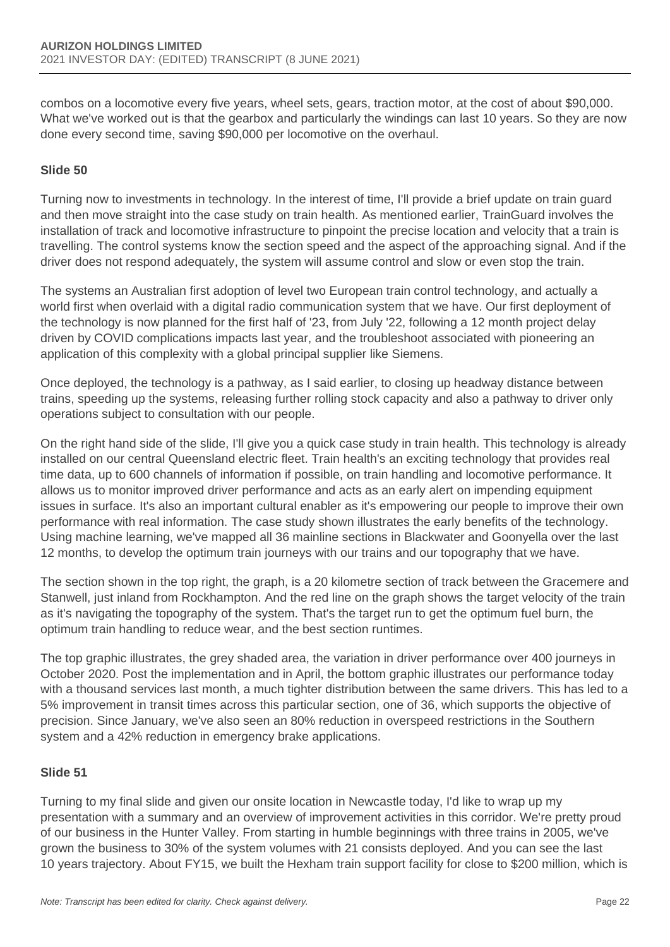combos on a locomotive every five years, wheel sets, gears, traction motor, at the cost of about \$90,000. What we've worked out is that the gearbox and particularly the windings can last 10 years. So they are now done every second time, saving \$90,000 per locomotive on the overhaul.

## **Slide 50**

Turning now to investments in technology. In the interest of time, I'll provide a brief update on train guard and then move straight into the case study on train health. As mentioned earlier, TrainGuard involves the installation of track and locomotive infrastructure to pinpoint the precise location and velocity that a train is travelling. The control systems know the section speed and the aspect of the approaching signal. And if the driver does not respond adequately, the system will assume control and slow or even stop the train.

The systems an Australian first adoption of level two European train control technology, and actually a world first when overlaid with a digital radio communication system that we have. Our first deployment of the technology is now planned for the first half of '23, from July '22, following a 12 month project delay driven by COVID complications impacts last year, and the troubleshoot associated with pioneering an application of this complexity with a global principal supplier like Siemens.

Once deployed, the technology is a pathway, as I said earlier, to closing up headway distance between trains, speeding up the systems, releasing further rolling stock capacity and also a pathway to driver only operations subject to consultation with our people.

On the right hand side of the slide, I'll give you a quick case study in train health. This technology is already installed on our central Queensland electric fleet. Train health's an exciting technology that provides real time data, up to 600 channels of information if possible, on train handling and locomotive performance. It allows us to monitor improved driver performance and acts as an early alert on impending equipment issues in surface. It's also an important cultural enabler as it's empowering our people to improve their own performance with real information. The case study shown illustrates the early benefits of the technology. Using machine learning, we've mapped all 36 mainline sections in Blackwater and Goonyella over the last 12 months, to develop the optimum train journeys with our trains and our topography that we have.

The section shown in the top right, the graph, is a 20 kilometre section of track between the Gracemere and Stanwell, just inland from Rockhampton. And the red line on the graph shows the target velocity of the train as it's navigating the topography of the system. That's the target run to get the optimum fuel burn, the optimum train handling to reduce wear, and the best section runtimes.

The top graphic illustrates, the grey shaded area, the variation in driver performance over 400 journeys in October 2020. Post the implementation and in April, the bottom graphic illustrates our performance today with a thousand services last month, a much tighter distribution between the same drivers. This has led to a 5% improvement in transit times across this particular section, one of 36, which supports the objective of precision. Since January, we've also seen an 80% reduction in overspeed restrictions in the Southern system and a 42% reduction in emergency brake applications.

## **Slide 51**

Turning to my final slide and given our onsite location in Newcastle today, I'd like to wrap up my presentation with a summary and an overview of improvement activities in this corridor. We're pretty proud of our business in the Hunter Valley. From starting in humble beginnings with three trains in 2005, we've grown the business to 30% of the system volumes with 21 consists deployed. And you can see the last 10 years trajectory. About FY15, we built the Hexham train support facility for close to \$200 million, which is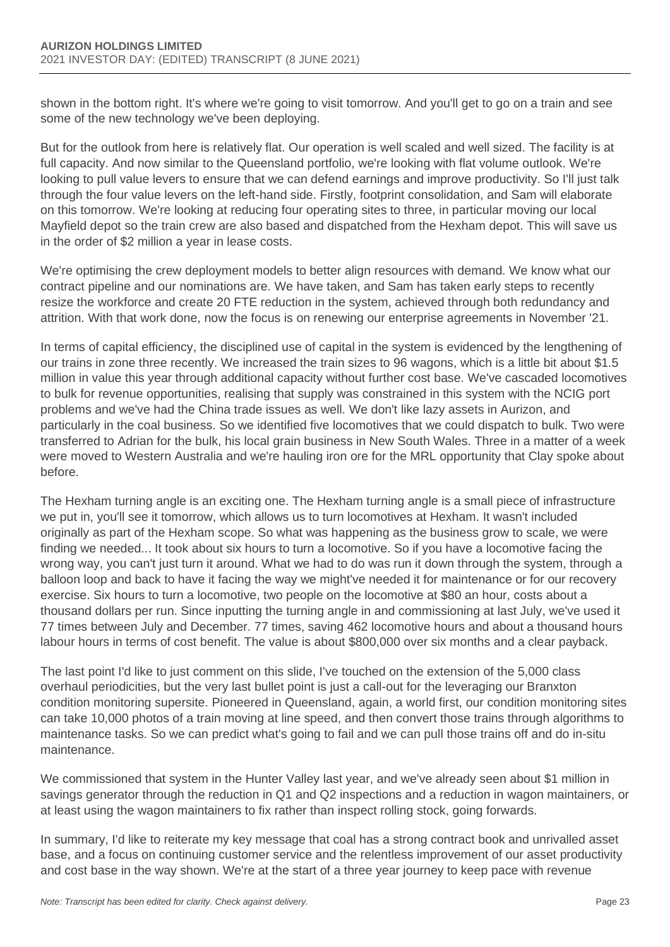shown in the bottom right. It's where we're going to visit tomorrow. And you'll get to go on a train and see some of the new technology we've been deploying.

But for the outlook from here is relatively flat. Our operation is well scaled and well sized. The facility is at full capacity. And now similar to the Queensland portfolio, we're looking with flat volume outlook. We're looking to pull value levers to ensure that we can defend earnings and improve productivity. So I'll just talk through the four value levers on the left-hand side. Firstly, footprint consolidation, and Sam will elaborate on this tomorrow. We're looking at reducing four operating sites to three, in particular moving our local Mayfield depot so the train crew are also based and dispatched from the Hexham depot. This will save us in the order of \$2 million a year in lease costs.

We're optimising the crew deployment models to better align resources with demand. We know what our contract pipeline and our nominations are. We have taken, and Sam has taken early steps to recently resize the workforce and create 20 FTE reduction in the system, achieved through both redundancy and attrition. With that work done, now the focus is on renewing our enterprise agreements in November '21.

In terms of capital efficiency, the disciplined use of capital in the system is evidenced by the lengthening of our trains in zone three recently. We increased the train sizes to 96 wagons, which is a little bit about \$1.5 million in value this year through additional capacity without further cost base. We've cascaded locomotives to bulk for revenue opportunities, realising that supply was constrained in this system with the NCIG port problems and we've had the China trade issues as well. We don't like lazy assets in Aurizon, and particularly in the coal business. So we identified five locomotives that we could dispatch to bulk. Two were transferred to Adrian for the bulk, his local grain business in New South Wales. Three in a matter of a week were moved to Western Australia and we're hauling iron ore for the MRL opportunity that Clay spoke about before.

The Hexham turning angle is an exciting one. The Hexham turning angle is a small piece of infrastructure we put in, you'll see it tomorrow, which allows us to turn locomotives at Hexham. It wasn't included originally as part of the Hexham scope. So what was happening as the business grow to scale, we were finding we needed... It took about six hours to turn a locomotive. So if you have a locomotive facing the wrong way, you can't just turn it around. What we had to do was run it down through the system, through a balloon loop and back to have it facing the way we might've needed it for maintenance or for our recovery exercise. Six hours to turn a locomotive, two people on the locomotive at \$80 an hour, costs about a thousand dollars per run. Since inputting the turning angle in and commissioning at last July, we've used it 77 times between July and December. 77 times, saving 462 locomotive hours and about a thousand hours labour hours in terms of cost benefit. The value is about \$800,000 over six months and a clear payback.

The last point I'd like to just comment on this slide, I've touched on the extension of the 5,000 class overhaul periodicities, but the very last bullet point is just a call-out for the leveraging our Branxton condition monitoring supersite. Pioneered in Queensland, again, a world first, our condition monitoring sites can take 10,000 photos of a train moving at line speed, and then convert those trains through algorithms to maintenance tasks. So we can predict what's going to fail and we can pull those trains off and do in-situ maintenance.

We commissioned that system in the Hunter Valley last year, and we've already seen about \$1 million in savings generator through the reduction in Q1 and Q2 inspections and a reduction in wagon maintainers, or at least using the wagon maintainers to fix rather than inspect rolling stock, going forwards.

In summary, I'd like to reiterate my key message that coal has a strong contract book and unrivalled asset base, and a focus on continuing customer service and the relentless improvement of our asset productivity and cost base in the way shown. We're at the start of a three year journey to keep pace with revenue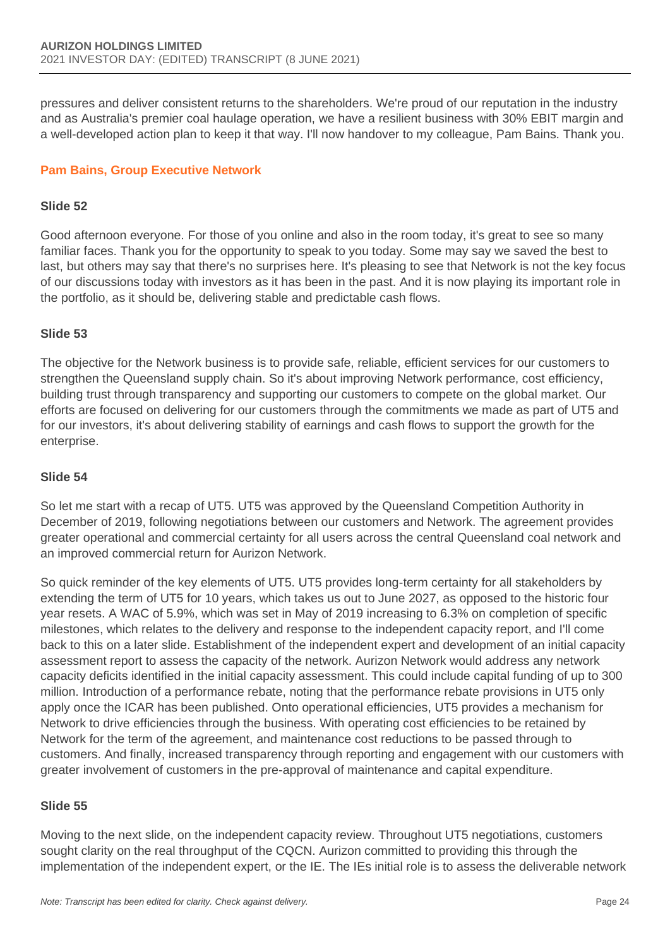pressures and deliver consistent returns to the shareholders. We're proud of our reputation in the industry and as Australia's premier coal haulage operation, we have a resilient business with 30% EBIT margin and a well-developed action plan to keep it that way. I'll now handover to my colleague, Pam Bains. Thank you.

## **Pam Bains, Group Executive Network**

### **Slide 52**

Good afternoon everyone. For those of you online and also in the room today, it's great to see so many familiar faces. Thank you for the opportunity to speak to you today. Some may say we saved the best to last, but others may say that there's no surprises here. It's pleasing to see that Network is not the key focus of our discussions today with investors as it has been in the past. And it is now playing its important role in the portfolio, as it should be, delivering stable and predictable cash flows.

### **Slide 53**

The objective for the Network business is to provide safe, reliable, efficient services for our customers to strengthen the Queensland supply chain. So it's about improving Network performance, cost efficiency, building trust through transparency and supporting our customers to compete on the global market. Our efforts are focused on delivering for our customers through the commitments we made as part of UT5 and for our investors, it's about delivering stability of earnings and cash flows to support the growth for the enterprise.

#### **Slide 54**

So let me start with a recap of UT5. UT5 was approved by the Queensland Competition Authority in December of 2019, following negotiations between our customers and Network. The agreement provides greater operational and commercial certainty for all users across the central Queensland coal network and an improved commercial return for Aurizon Network.

So quick reminder of the key elements of UT5. UT5 provides long-term certainty for all stakeholders by extending the term of UT5 for 10 years, which takes us out to June 2027, as opposed to the historic four year resets. A WAC of 5.9%, which was set in May of 2019 increasing to 6.3% on completion of specific milestones, which relates to the delivery and response to the independent capacity report, and I'll come back to this on a later slide. Establishment of the independent expert and development of an initial capacity assessment report to assess the capacity of the network. Aurizon Network would address any network capacity deficits identified in the initial capacity assessment. This could include capital funding of up to 300 million. Introduction of a performance rebate, noting that the performance rebate provisions in UT5 only apply once the ICAR has been published. Onto operational efficiencies, UT5 provides a mechanism for Network to drive efficiencies through the business. With operating cost efficiencies to be retained by Network for the term of the agreement, and maintenance cost reductions to be passed through to customers. And finally, increased transparency through reporting and engagement with our customers with greater involvement of customers in the pre-approval of maintenance and capital expenditure.

## **Slide 55**

Moving to the next slide, on the independent capacity review. Throughout UT5 negotiations, customers sought clarity on the real throughput of the CQCN. Aurizon committed to providing this through the implementation of the independent expert, or the IE. The IEs initial role is to assess the deliverable network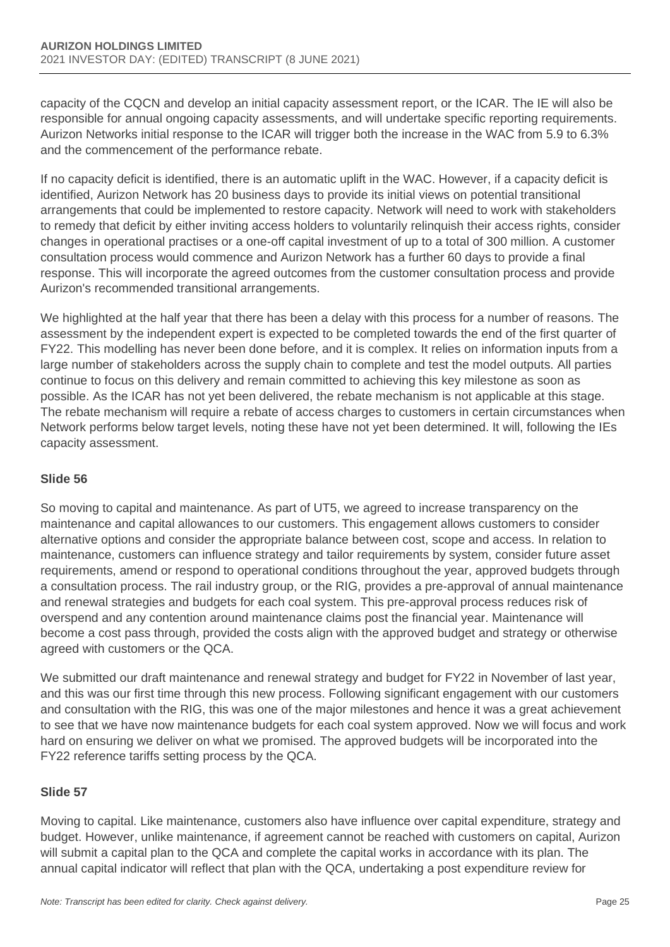capacity of the CQCN and develop an initial capacity assessment report, or the ICAR. The IE will also be responsible for annual ongoing capacity assessments, and will undertake specific reporting requirements. Aurizon Networks initial response to the ICAR will trigger both the increase in the WAC from 5.9 to 6.3% and the commencement of the performance rebate.

If no capacity deficit is identified, there is an automatic uplift in the WAC. However, if a capacity deficit is identified, Aurizon Network has 20 business days to provide its initial views on potential transitional arrangements that could be implemented to restore capacity. Network will need to work with stakeholders to remedy that deficit by either inviting access holders to voluntarily relinquish their access rights, consider changes in operational practises or a one-off capital investment of up to a total of 300 million. A customer consultation process would commence and Aurizon Network has a further 60 days to provide a final response. This will incorporate the agreed outcomes from the customer consultation process and provide Aurizon's recommended transitional arrangements.

We highlighted at the half year that there has been a delay with this process for a number of reasons. The assessment by the independent expert is expected to be completed towards the end of the first quarter of FY22. This modelling has never been done before, and it is complex. It relies on information inputs from a large number of stakeholders across the supply chain to complete and test the model outputs. All parties continue to focus on this delivery and remain committed to achieving this key milestone as soon as possible. As the ICAR has not yet been delivered, the rebate mechanism is not applicable at this stage. The rebate mechanism will require a rebate of access charges to customers in certain circumstances when Network performs below target levels, noting these have not yet been determined. It will, following the IEs capacity assessment.

## **Slide 56**

So moving to capital and maintenance. As part of UT5, we agreed to increase transparency on the maintenance and capital allowances to our customers. This engagement allows customers to consider alternative options and consider the appropriate balance between cost, scope and access. In relation to maintenance, customers can influence strategy and tailor requirements by system, consider future asset requirements, amend or respond to operational conditions throughout the year, approved budgets through a consultation process. The rail industry group, or the RIG, provides a pre-approval of annual maintenance and renewal strategies and budgets for each coal system. This pre-approval process reduces risk of overspend and any contention around maintenance claims post the financial year. Maintenance will become a cost pass through, provided the costs align with the approved budget and strategy or otherwise agreed with customers or the QCA.

We submitted our draft maintenance and renewal strategy and budget for FY22 in November of last year, and this was our first time through this new process. Following significant engagement with our customers and consultation with the RIG, this was one of the major milestones and hence it was a great achievement to see that we have now maintenance budgets for each coal system approved. Now we will focus and work hard on ensuring we deliver on what we promised. The approved budgets will be incorporated into the FY22 reference tariffs setting process by the QCA.

## **Slide 57**

Moving to capital. Like maintenance, customers also have influence over capital expenditure, strategy and budget. However, unlike maintenance, if agreement cannot be reached with customers on capital, Aurizon will submit a capital plan to the QCA and complete the capital works in accordance with its plan. The annual capital indicator will reflect that plan with the QCA, undertaking a post expenditure review for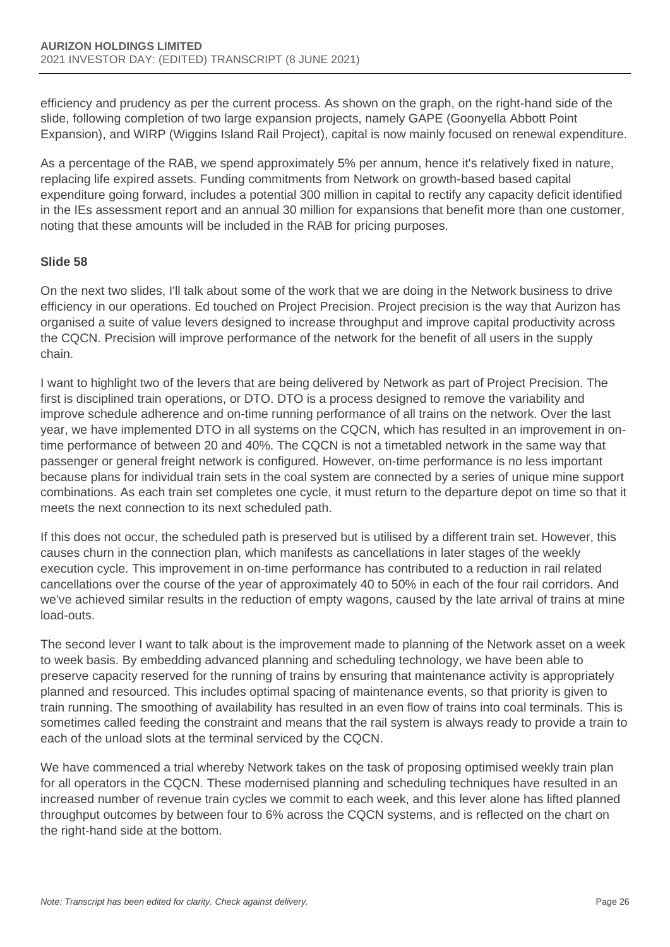efficiency and prudency as per the current process. As shown on the graph, on the right-hand side of the slide, following completion of two large expansion projects, namely GAPE (Goonyella Abbott Point Expansion), and WIRP (Wiggins Island Rail Project), capital is now mainly focused on renewal expenditure.

As a percentage of the RAB, we spend approximately 5% per annum, hence it's relatively fixed in nature, replacing life expired assets. Funding commitments from Network on growth-based based capital expenditure going forward, includes a potential 300 million in capital to rectify any capacity deficit identified in the IEs assessment report and an annual 30 million for expansions that benefit more than one customer, noting that these amounts will be included in the RAB for pricing purposes.

## **Slide 58**

On the next two slides, I'll talk about some of the work that we are doing in the Network business to drive efficiency in our operations. Ed touched on Project Precision. Project precision is the way that Aurizon has organised a suite of value levers designed to increase throughput and improve capital productivity across the CQCN. Precision will improve performance of the network for the benefit of all users in the supply chain.

I want to highlight two of the levers that are being delivered by Network as part of Project Precision. The first is disciplined train operations, or DTO. DTO is a process designed to remove the variability and improve schedule adherence and on-time running performance of all trains on the network. Over the last year, we have implemented DTO in all systems on the CQCN, which has resulted in an improvement in ontime performance of between 20 and 40%. The CQCN is not a timetabled network in the same way that passenger or general freight network is configured. However, on-time performance is no less important because plans for individual train sets in the coal system are connected by a series of unique mine support combinations. As each train set completes one cycle, it must return to the departure depot on time so that it meets the next connection to its next scheduled path.

If this does not occur, the scheduled path is preserved but is utilised by a different train set. However, this causes churn in the connection plan, which manifests as cancellations in later stages of the weekly execution cycle. This improvement in on-time performance has contributed to a reduction in rail related cancellations over the course of the year of approximately 40 to 50% in each of the four rail corridors. And we've achieved similar results in the reduction of empty wagons, caused by the late arrival of trains at mine load-outs.

The second lever I want to talk about is the improvement made to planning of the Network asset on a week to week basis. By embedding advanced planning and scheduling technology, we have been able to preserve capacity reserved for the running of trains by ensuring that maintenance activity is appropriately planned and resourced. This includes optimal spacing of maintenance events, so that priority is given to train running. The smoothing of availability has resulted in an even flow of trains into coal terminals. This is sometimes called feeding the constraint and means that the rail system is always ready to provide a train to each of the unload slots at the terminal serviced by the CQCN.

We have commenced a trial whereby Network takes on the task of proposing optimised weekly train plan for all operators in the CQCN. These modernised planning and scheduling techniques have resulted in an increased number of revenue train cycles we commit to each week, and this lever alone has lifted planned throughput outcomes by between four to 6% across the CQCN systems, and is reflected on the chart on the right-hand side at the bottom.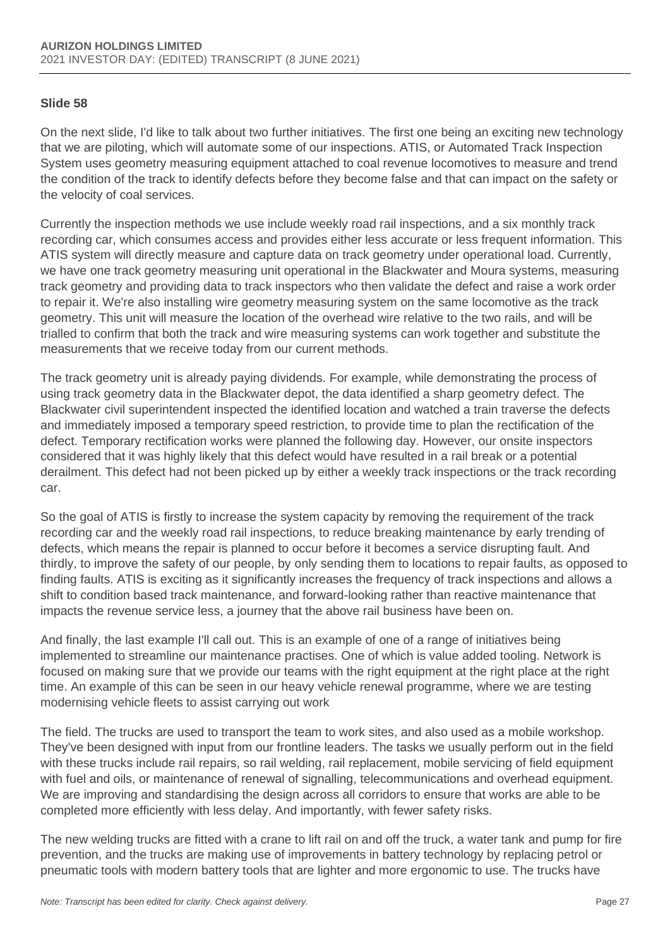### **Slide 58**

On the next slide, I'd like to talk about two further initiatives. The first one being an exciting new technology that we are piloting, which will automate some of our inspections. ATIS, or Automated Track Inspection System uses geometry measuring equipment attached to coal revenue locomotives to measure and trend the condition of the track to identify defects before they become false and that can impact on the safety or the velocity of coal services.

Currently the inspection methods we use include weekly road rail inspections, and a six monthly track recording car, which consumes access and provides either less accurate or less frequent information. This ATIS system will directly measure and capture data on track geometry under operational load. Currently, we have one track geometry measuring unit operational in the Blackwater and Moura systems, measuring track geometry and providing data to track inspectors who then validate the defect and raise a work order to repair it. We're also installing wire geometry measuring system on the same locomotive as the track geometry. This unit will measure the location of the overhead wire relative to the two rails, and will be trialled to confirm that both the track and wire measuring systems can work together and substitute the measurements that we receive today from our current methods.

The track geometry unit is already paying dividends. For example, while demonstrating the process of using track geometry data in the Blackwater depot, the data identified a sharp geometry defect. The Blackwater civil superintendent inspected the identified location and watched a train traverse the defects and immediately imposed a temporary speed restriction, to provide time to plan the rectification of the defect. Temporary rectification works were planned the following day. However, our onsite inspectors considered that it was highly likely that this defect would have resulted in a rail break or a potential derailment. This defect had not been picked up by either a weekly track inspections or the track recording car.

So the goal of ATIS is firstly to increase the system capacity by removing the requirement of the track recording car and the weekly road rail inspections, to reduce breaking maintenance by early trending of defects, which means the repair is planned to occur before it becomes a service disrupting fault. And thirdly, to improve the safety of our people, by only sending them to locations to repair faults, as opposed to finding faults. ATIS is exciting as it significantly increases the frequency of track inspections and allows a shift to condition based track maintenance, and forward-looking rather than reactive maintenance that impacts the revenue service less, a journey that the above rail business have been on.

And finally, the last example I'll call out. This is an example of one of a range of initiatives being implemented to streamline our maintenance practises. One of which is value added tooling. Network is focused on making sure that we provide our teams with the right equipment at the right place at the right time. An example of this can be seen in our heavy vehicle renewal programme, where we are testing modernising vehicle fleets to assist carrying out work

The field. The trucks are used to transport the team to work sites, and also used as a mobile workshop. They've been designed with input from our frontline leaders. The tasks we usually perform out in the field with these trucks include rail repairs, so rail welding, rail replacement, mobile servicing of field equipment with fuel and oils, or maintenance of renewal of signalling, telecommunications and overhead equipment. We are improving and standardising the design across all corridors to ensure that works are able to be completed more efficiently with less delay. And importantly, with fewer safety risks.

The new welding trucks are fitted with a crane to lift rail on and off the truck, a water tank and pump for fire prevention, and the trucks are making use of improvements in battery technology by replacing petrol or pneumatic tools with modern battery tools that are lighter and more ergonomic to use. The trucks have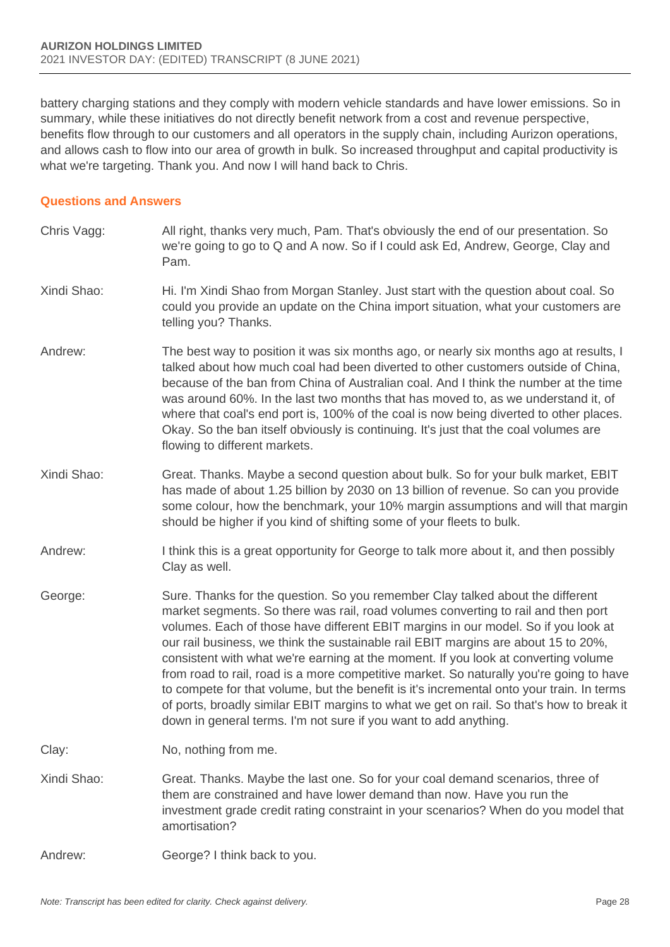battery charging stations and they comply with modern vehicle standards and have lower emissions. So in summary, while these initiatives do not directly benefit network from a cost and revenue perspective, benefits flow through to our customers and all operators in the supply chain, including Aurizon operations, and allows cash to flow into our area of growth in bulk. So increased throughput and capital productivity is what we're targeting. Thank you. And now I will hand back to Chris.

#### **Questions and Answers**

Chris Vagg: All right, thanks very much, Pam. That's obviously the end of our presentation. So we're going to go to Q and A now. So if I could ask Ed, Andrew, George, Clay and Pam. Xindi Shao: Hi. I'm Xindi Shao from Morgan Stanley. Just start with the question about coal. So could you provide an update on the China import situation, what your customers are telling you? Thanks. Andrew: The best way to position it was six months ago, or nearly six months ago at results, I talked about how much coal had been diverted to other customers outside of China, because of the ban from China of Australian coal. And I think the number at the time was around 60%. In the last two months that has moved to, as we understand it, of where that coal's end port is, 100% of the coal is now being diverted to other places. Okay. So the ban itself obviously is continuing. It's just that the coal volumes are flowing to different markets. Xindi Shao: Great. Thanks. Maybe a second question about bulk. So for your bulk market, EBIT has made of about 1.25 billion by 2030 on 13 billion of revenue. So can you provide some colour, how the benchmark, your 10% margin assumptions and will that margin should be higher if you kind of shifting some of your fleets to bulk. Andrew: I think this is a great opportunity for George to talk more about it, and then possibly Clay as well. George: Sure. Thanks for the question. So you remember Clay talked about the different market segments. So there was rail, road volumes converting to rail and then port volumes. Each of those have different EBIT margins in our model. So if you look at our rail business, we think the sustainable rail EBIT margins are about 15 to 20%, consistent with what we're earning at the moment. If you look at converting volume from road to rail, road is a more competitive market. So naturally you're going to have to compete for that volume, but the benefit is it's incremental onto your train. In terms of ports, broadly similar EBIT margins to what we get on rail. So that's how to break it down in general terms. I'm not sure if you want to add anything. Clay: No, nothing from me. Xindi Shao: Great. Thanks. Maybe the last one. So for your coal demand scenarios, three of them are constrained and have lower demand than now. Have you run the investment grade credit rating constraint in your scenarios? When do you model that amortisation? Andrew: George? I think back to you.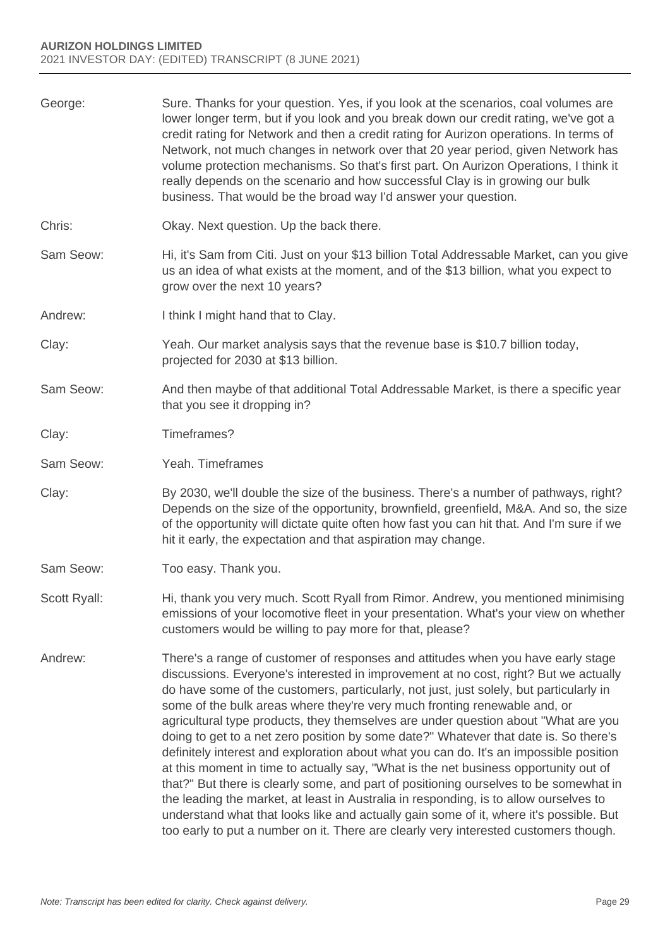| George:      | Sure. Thanks for your question. Yes, if you look at the scenarios, coal volumes are<br>lower longer term, but if you look and you break down our credit rating, we've got a<br>credit rating for Network and then a credit rating for Aurizon operations. In terms of<br>Network, not much changes in network over that 20 year period, given Network has<br>volume protection mechanisms. So that's first part. On Aurizon Operations, I think it<br>really depends on the scenario and how successful Clay is in growing our bulk<br>business. That would be the broad way I'd answer your question.                                                                                                                                                                                                                                                                                                                                                                                                                                                                               |
|--------------|--------------------------------------------------------------------------------------------------------------------------------------------------------------------------------------------------------------------------------------------------------------------------------------------------------------------------------------------------------------------------------------------------------------------------------------------------------------------------------------------------------------------------------------------------------------------------------------------------------------------------------------------------------------------------------------------------------------------------------------------------------------------------------------------------------------------------------------------------------------------------------------------------------------------------------------------------------------------------------------------------------------------------------------------------------------------------------------|
| Chris:       | Okay. Next question. Up the back there.                                                                                                                                                                                                                                                                                                                                                                                                                                                                                                                                                                                                                                                                                                                                                                                                                                                                                                                                                                                                                                              |
| Sam Seow:    | Hi, it's Sam from Citi. Just on your \$13 billion Total Addressable Market, can you give<br>us an idea of what exists at the moment, and of the \$13 billion, what you expect to<br>grow over the next 10 years?                                                                                                                                                                                                                                                                                                                                                                                                                                                                                                                                                                                                                                                                                                                                                                                                                                                                     |
| Andrew:      | I think I might hand that to Clay.                                                                                                                                                                                                                                                                                                                                                                                                                                                                                                                                                                                                                                                                                                                                                                                                                                                                                                                                                                                                                                                   |
| Clay:        | Yeah. Our market analysis says that the revenue base is \$10.7 billion today,<br>projected for 2030 at \$13 billion.                                                                                                                                                                                                                                                                                                                                                                                                                                                                                                                                                                                                                                                                                                                                                                                                                                                                                                                                                                 |
| Sam Seow:    | And then maybe of that additional Total Addressable Market, is there a specific year<br>that you see it dropping in?                                                                                                                                                                                                                                                                                                                                                                                                                                                                                                                                                                                                                                                                                                                                                                                                                                                                                                                                                                 |
| Clay:        | Timeframes?                                                                                                                                                                                                                                                                                                                                                                                                                                                                                                                                                                                                                                                                                                                                                                                                                                                                                                                                                                                                                                                                          |
| Sam Seow:    | Yeah. Timeframes                                                                                                                                                                                                                                                                                                                                                                                                                                                                                                                                                                                                                                                                                                                                                                                                                                                                                                                                                                                                                                                                     |
| Clay:        | By 2030, we'll double the size of the business. There's a number of pathways, right?<br>Depends on the size of the opportunity, brownfield, greenfield, M&A. And so, the size<br>of the opportunity will dictate quite often how fast you can hit that. And I'm sure if we<br>hit it early, the expectation and that aspiration may change.                                                                                                                                                                                                                                                                                                                                                                                                                                                                                                                                                                                                                                                                                                                                          |
| Sam Seow:    | Too easy. Thank you.                                                                                                                                                                                                                                                                                                                                                                                                                                                                                                                                                                                                                                                                                                                                                                                                                                                                                                                                                                                                                                                                 |
| Scott Ryall: | Hi, thank you very much. Scott Ryall from Rimor. Andrew, you mentioned minimising<br>emissions of your locomotive fleet in your presentation. What's your view on whether<br>customers would be willing to pay more for that, please?                                                                                                                                                                                                                                                                                                                                                                                                                                                                                                                                                                                                                                                                                                                                                                                                                                                |
| Andrew:      | There's a range of customer of responses and attitudes when you have early stage<br>discussions. Everyone's interested in improvement at no cost, right? But we actually<br>do have some of the customers, particularly, not just, just solely, but particularly in<br>some of the bulk areas where they're very much fronting renewable and, or<br>agricultural type products, they themselves are under question about "What are you<br>doing to get to a net zero position by some date?" Whatever that date is. So there's<br>definitely interest and exploration about what you can do. It's an impossible position<br>at this moment in time to actually say, "What is the net business opportunity out of<br>that?" But there is clearly some, and part of positioning ourselves to be somewhat in<br>the leading the market, at least in Australia in responding, is to allow ourselves to<br>understand what that looks like and actually gain some of it, where it's possible. But<br>too early to put a number on it. There are clearly very interested customers though. |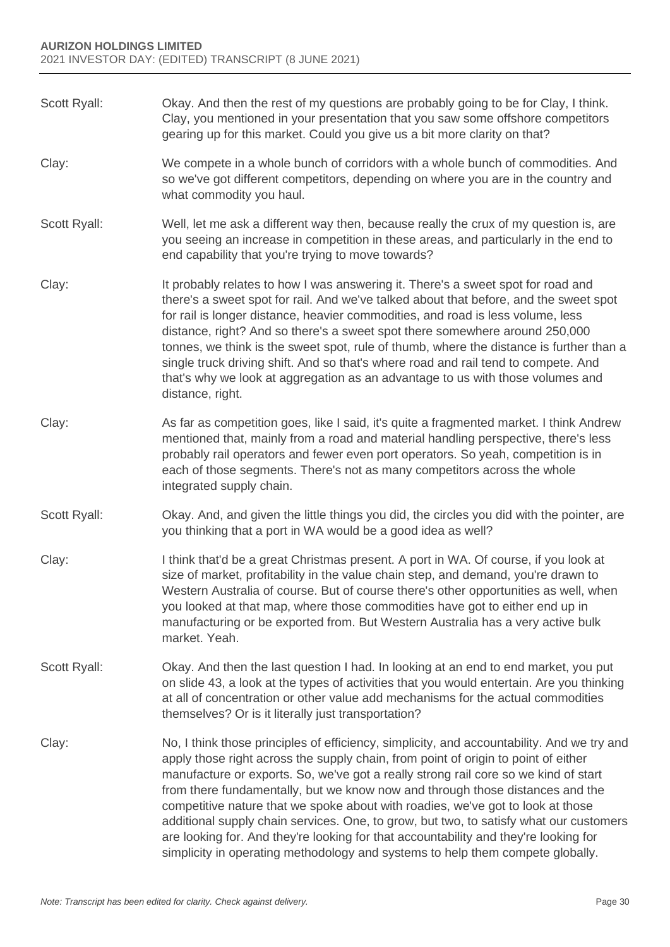Scott Ryall: Okay. And then the rest of my questions are probably going to be for Clay, I think. Clay, you mentioned in your presentation that you saw some offshore competitors gearing up for this market. Could you give us a bit more clarity on that? Clay: We compete in a whole bunch of corridors with a whole bunch of commodities. And so we've got different competitors, depending on where you are in the country and what commodity you haul. Scott Ryall: Well, let me ask a different way then, because really the crux of my question is, are you seeing an increase in competition in these areas, and particularly in the end to end capability that you're trying to move towards? Clay: It probably relates to how I was answering it. There's a sweet spot for road and there's a sweet spot for rail. And we've talked about that before, and the sweet spot for rail is longer distance, heavier commodities, and road is less volume, less distance, right? And so there's a sweet spot there somewhere around 250,000 tonnes, we think is the sweet spot, rule of thumb, where the distance is further than a single truck driving shift. And so that's where road and rail tend to compete. And that's why we look at aggregation as an advantage to us with those volumes and distance, right. Clay: As far as competition goes, like I said, it's quite a fragmented market. I think Andrew mentioned that, mainly from a road and material handling perspective, there's less probably rail operators and fewer even port operators. So yeah, competition is in each of those segments. There's not as many competitors across the whole integrated supply chain. Scott Ryall: Okay. And, and given the little things you did, the circles you did with the pointer, are you thinking that a port in WA would be a good idea as well? Clay: I think that'd be a great Christmas present. A port in WA. Of course, if you look at size of market, profitability in the value chain step, and demand, you're drawn to Western Australia of course. But of course there's other opportunities as well, when you looked at that map, where those commodities have got to either end up in manufacturing or be exported from. But Western Australia has a very active bulk market. Yeah. Scott Ryall: Okay. And then the last question I had. In looking at an end to end market, you put on slide 43, a look at the types of activities that you would entertain. Are you thinking at all of concentration or other value add mechanisms for the actual commodities themselves? Or is it literally just transportation? Clay: No, I think those principles of efficiency, simplicity, and accountability. And we try and apply those right across the supply chain, from point of origin to point of either manufacture or exports. So, we've got a really strong rail core so we kind of start from there fundamentally, but we know now and through those distances and the competitive nature that we spoke about with roadies, we've got to look at those additional supply chain services. One, to grow, but two, to satisfy what our customers are looking for. And they're looking for that accountability and they're looking for simplicity in operating methodology and systems to help them compete globally.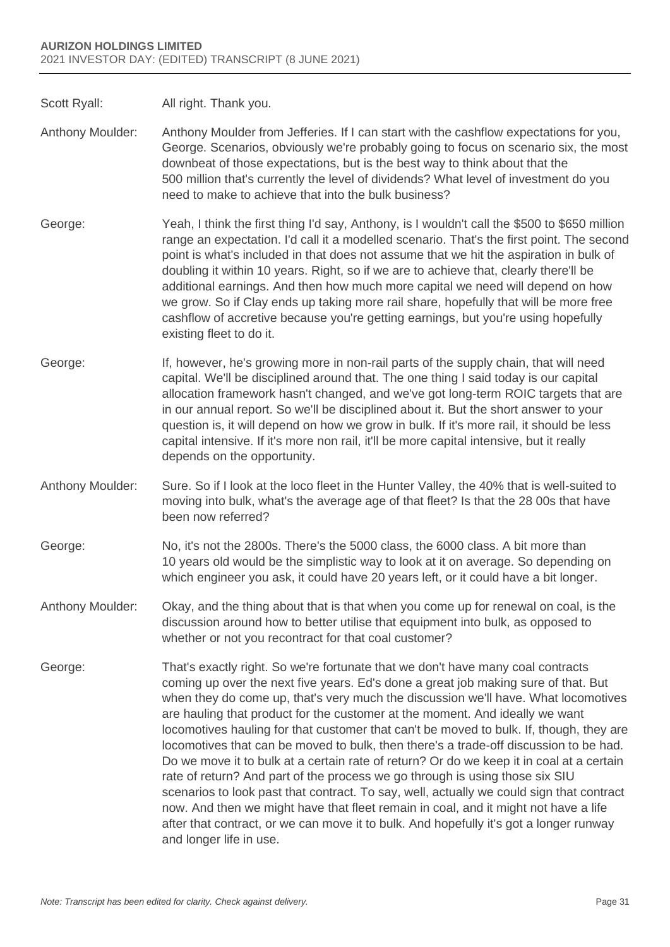Scott Ryall: All right. Thank you.

- Anthony Moulder: Anthony Moulder from Jefferies. If I can start with the cashflow expectations for you, George. Scenarios, obviously we're probably going to focus on scenario six, the most downbeat of those expectations, but is the best way to think about that the 500 million that's currently the level of dividends? What level of investment do you need to make to achieve that into the bulk business?
- George: Yeah, I think the first thing I'd say, Anthony, is I wouldn't call the \$500 to \$650 million range an expectation. I'd call it a modelled scenario. That's the first point. The second point is what's included in that does not assume that we hit the aspiration in bulk of doubling it within 10 years. Right, so if we are to achieve that, clearly there'll be additional earnings. And then how much more capital we need will depend on how we grow. So if Clay ends up taking more rail share, hopefully that will be more free cashflow of accretive because you're getting earnings, but you're using hopefully existing fleet to do it.
- George: If, however, he's growing more in non-rail parts of the supply chain, that will need capital. We'll be disciplined around that. The one thing I said today is our capital allocation framework hasn't changed, and we've got long-term ROIC targets that are in our annual report. So we'll be disciplined about it. But the short answer to your question is, it will depend on how we grow in bulk. If it's more rail, it should be less capital intensive. If it's more non rail, it'll be more capital intensive, but it really depends on the opportunity.
- Anthony Moulder: Sure. So if I look at the loco fleet in the Hunter Valley, the 40% that is well-suited to moving into bulk, what's the average age of that fleet? Is that the 28 00s that have been now referred?
- George: No, it's not the 2800s. There's the 5000 class, the 6000 class. A bit more than 10 years old would be the simplistic way to look at it on average. So depending on which engineer you ask, it could have 20 years left, or it could have a bit longer.
- Anthony Moulder: Okay, and the thing about that is that when you come up for renewal on coal, is the discussion around how to better utilise that equipment into bulk, as opposed to whether or not you recontract for that coal customer?
- George: That's exactly right. So we're fortunate that we don't have many coal contracts coming up over the next five years. Ed's done a great job making sure of that. But when they do come up, that's very much the discussion we'll have. What locomotives are hauling that product for the customer at the moment. And ideally we want locomotives hauling for that customer that can't be moved to bulk. If, though, they are locomotives that can be moved to bulk, then there's a trade-off discussion to be had. Do we move it to bulk at a certain rate of return? Or do we keep it in coal at a certain rate of return? And part of the process we go through is using those six SIU scenarios to look past that contract. To say, well, actually we could sign that contract now. And then we might have that fleet remain in coal, and it might not have a life after that contract, or we can move it to bulk. And hopefully it's got a longer runway and longer life in use.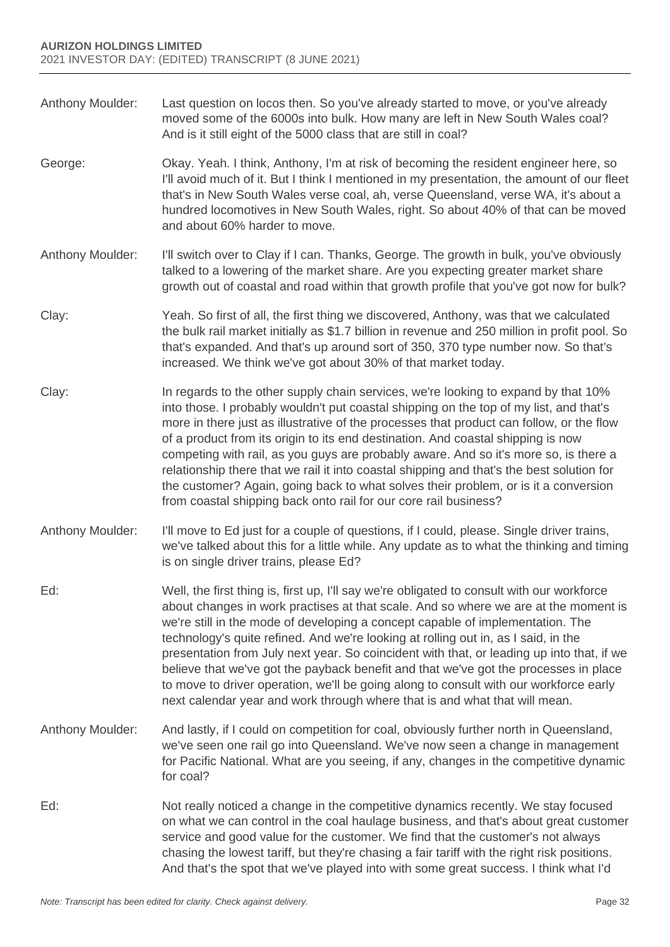- Anthony Moulder: Last question on locos then. So you've already started to move, or you've already moved some of the 6000s into bulk. How many are left in New South Wales coal? And is it still eight of the 5000 class that are still in coal?
- George: Okay. Yeah. I think, Anthony, I'm at risk of becoming the resident engineer here, so I'll avoid much of it. But I think I mentioned in my presentation, the amount of our fleet that's in New South Wales verse coal, ah, verse Queensland, verse WA, it's about a hundred locomotives in New South Wales, right. So about 40% of that can be moved and about 60% harder to move.
- Anthony Moulder: I'll switch over to Clay if I can. Thanks, George. The growth in bulk, you've obviously talked to a lowering of the market share. Are you expecting greater market share growth out of coastal and road within that growth profile that you've got now for bulk?
- Clay: Yeah. So first of all, the first thing we discovered, Anthony, was that we calculated the bulk rail market initially as \$1.7 billion in revenue and 250 million in profit pool. So that's expanded. And that's up around sort of 350, 370 type number now. So that's increased. We think we've got about 30% of that market today.
- Clay: In regards to the other supply chain services, we're looking to expand by that 10% into those. I probably wouldn't put coastal shipping on the top of my list, and that's more in there just as illustrative of the processes that product can follow, or the flow of a product from its origin to its end destination. And coastal shipping is now competing with rail, as you guys are probably aware. And so it's more so, is there a relationship there that we rail it into coastal shipping and that's the best solution for the customer? Again, going back to what solves their problem, or is it a conversion from coastal shipping back onto rail for our core rail business?
- Anthony Moulder: I'll move to Ed just for a couple of questions, if I could, please. Single driver trains, we've talked about this for a little while. Any update as to what the thinking and timing is on single driver trains, please Ed?
- Ed: Well, the first thing is, first up, I'll say we're obligated to consult with our workforce about changes in work practises at that scale. And so where we are at the moment is we're still in the mode of developing a concept capable of implementation. The technology's quite refined. And we're looking at rolling out in, as I said, in the presentation from July next year. So coincident with that, or leading up into that, if we believe that we've got the payback benefit and that we've got the processes in place to move to driver operation, we'll be going along to consult with our workforce early next calendar year and work through where that is and what that will mean.
- Anthony Moulder: And lastly, if I could on competition for coal, obviously further north in Queensland, we've seen one rail go into Queensland. We've now seen a change in management for Pacific National. What are you seeing, if any, changes in the competitive dynamic for coal?
- Ed: Not really noticed a change in the competitive dynamics recently. We stay focused on what we can control in the coal haulage business, and that's about great customer service and good value for the customer. We find that the customer's not always chasing the lowest tariff, but they're chasing a fair tariff with the right risk positions. And that's the spot that we've played into with some great success. I think what I'd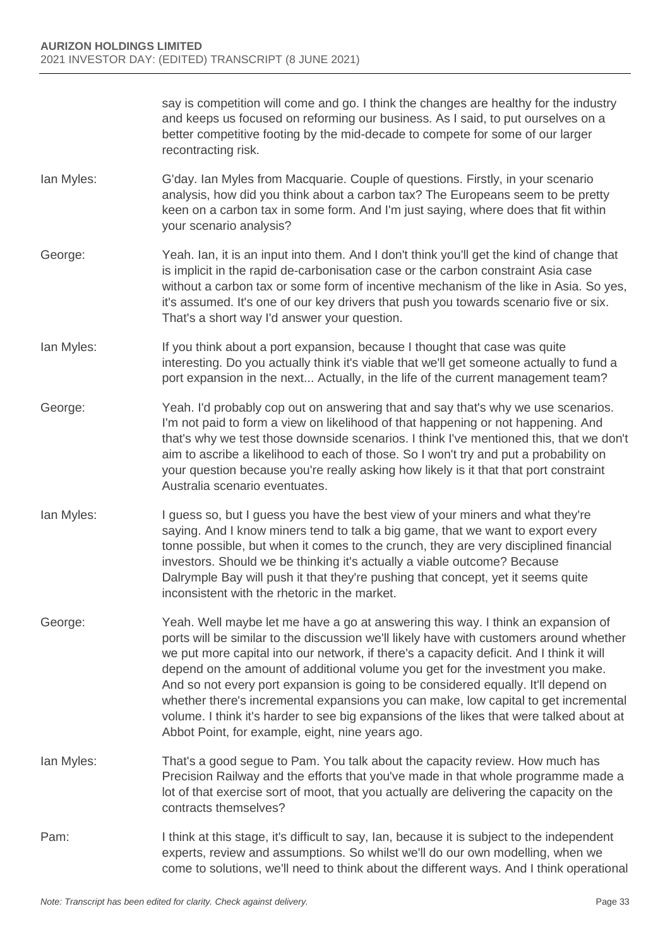say is competition will come and go. I think the changes are healthy for the industry and keeps us focused on reforming our business. As I said, to put ourselves on a better competitive footing by the mid-decade to compete for some of our larger recontracting risk.

- Ian Myles: G'day. Ian Myles from Macquarie. Couple of questions. Firstly, in your scenario analysis, how did you think about a carbon tax? The Europeans seem to be pretty keen on a carbon tax in some form. And I'm just saying, where does that fit within your scenario analysis?
- George: Yeah. Ian, it is an input into them. And I don't think you'll get the kind of change that is implicit in the rapid de-carbonisation case or the carbon constraint Asia case without a carbon tax or some form of incentive mechanism of the like in Asia. So yes, it's assumed. It's one of our key drivers that push you towards scenario five or six. That's a short way I'd answer your question.
- Ian Myles: If you think about a port expansion, because I thought that case was quite interesting. Do you actually think it's viable that we'll get someone actually to fund a port expansion in the next... Actually, in the life of the current management team?
- George: Yeah. I'd probably cop out on answering that and say that's why we use scenarios. I'm not paid to form a view on likelihood of that happening or not happening. And that's why we test those downside scenarios. I think I've mentioned this, that we don't aim to ascribe a likelihood to each of those. So I won't try and put a probability on your question because you're really asking how likely is it that that port constraint Australia scenario eventuates.
- I an Myles: I guess so, but I guess you have the best view of your miners and what they're saying. And I know miners tend to talk a big game, that we want to export every tonne possible, but when it comes to the crunch, they are very disciplined financial investors. Should we be thinking it's actually a viable outcome? Because Dalrymple Bay will push it that they're pushing that concept, yet it seems quite inconsistent with the rhetoric in the market.
- George: Yeah. Well maybe let me have a go at answering this way. I think an expansion of ports will be similar to the discussion we'll likely have with customers around whether we put more capital into our network, if there's a capacity deficit. And I think it will depend on the amount of additional volume you get for the investment you make. And so not every port expansion is going to be considered equally. It'll depend on whether there's incremental expansions you can make, low capital to get incremental volume. I think it's harder to see big expansions of the likes that were talked about at Abbot Point, for example, eight, nine years ago.
- Ian Myles: That's a good segue to Pam. You talk about the capacity review. How much has Precision Railway and the efforts that you've made in that whole programme made a lot of that exercise sort of moot, that you actually are delivering the capacity on the contracts themselves?
- Pam: I think at this stage, it's difficult to say, Ian, because it is subject to the independent experts, review and assumptions. So whilst we'll do our own modelling, when we come to solutions, we'll need to think about the different ways. And I think operational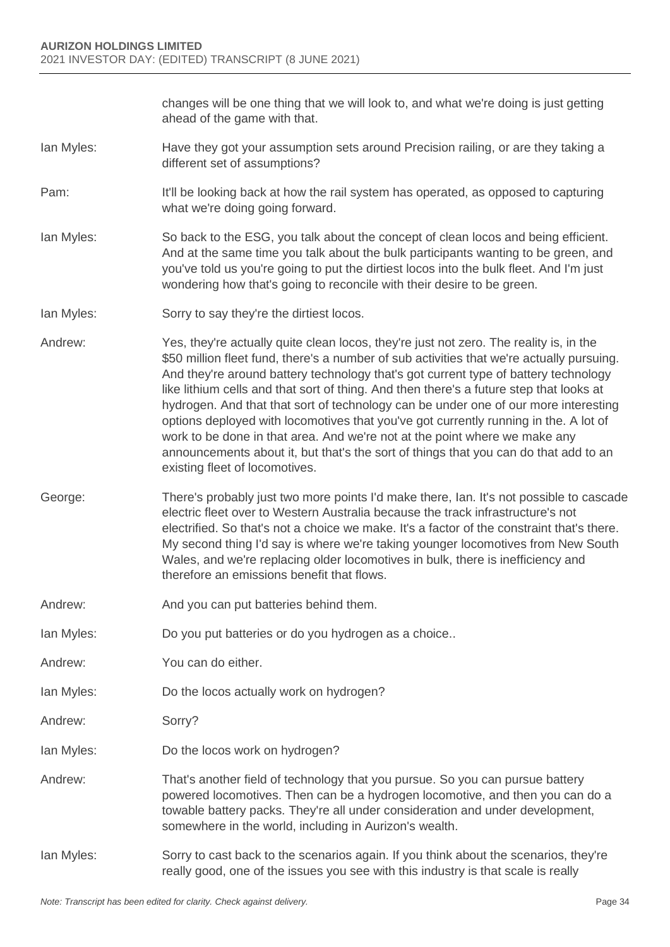changes will be one thing that we will look to, and what we're doing is just getting ahead of the game with that.

- Ian Myles: Have they got your assumption sets around Precision railing, or are they taking a different set of assumptions?
- Pam: It'll be looking back at how the rail system has operated, as opposed to capturing what we're doing going forward.
- Ian Myles: So back to the ESG, you talk about the concept of clean locos and being efficient. And at the same time you talk about the bulk participants wanting to be green, and you've told us you're going to put the dirtiest locos into the bulk fleet. And I'm just wondering how that's going to reconcile with their desire to be green.
- Ian Myles: Sorry to say they're the dirtiest locos.
- Andrew: Yes, they're actually quite clean locos, they're just not zero. The reality is, in the \$50 million fleet fund, there's a number of sub activities that we're actually pursuing. And they're around battery technology that's got current type of battery technology like lithium cells and that sort of thing. And then there's a future step that looks at hydrogen. And that that sort of technology can be under one of our more interesting options deployed with locomotives that you've got currently running in the. A lot of work to be done in that area. And we're not at the point where we make any announcements about it, but that's the sort of things that you can do that add to an existing fleet of locomotives.
- George: There's probably just two more points I'd make there, Ian. It's not possible to cascade electric fleet over to Western Australia because the track infrastructure's not electrified. So that's not a choice we make. It's a factor of the constraint that's there. My second thing I'd say is where we're taking younger locomotives from New South Wales, and we're replacing older locomotives in bulk, there is inefficiency and therefore an emissions benefit that flows.
- Andrew: And you can put batteries behind them.
- Ian Myles: Do you put batteries or do you hydrogen as a choice..
- Andrew: You can do either.
- Ian Myles: Do the locos actually work on hydrogen?
- Andrew: Sorry?
- Ian Myles: Do the locos work on hydrogen?
- Andrew: That's another field of technology that you pursue. So you can pursue battery powered locomotives. Then can be a hydrogen locomotive, and then you can do a towable battery packs. They're all under consideration and under development, somewhere in the world, including in Aurizon's wealth.
- Ian Myles: Sorry to cast back to the scenarios again. If you think about the scenarios, they're really good, one of the issues you see with this industry is that scale is really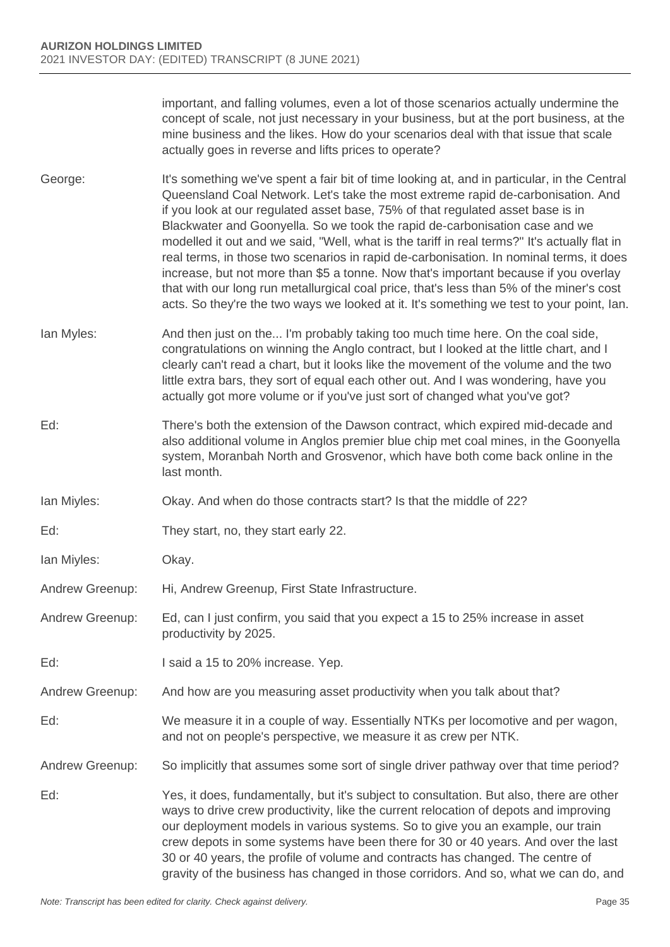important, and falling volumes, even a lot of those scenarios actually undermine the concept of scale, not just necessary in your business, but at the port business, at the mine business and the likes. How do your scenarios deal with that issue that scale actually goes in reverse and lifts prices to operate?

- George: It's something we've spent a fair bit of time looking at, and in particular, in the Central Queensland Coal Network. Let's take the most extreme rapid de-carbonisation. And if you look at our regulated asset base, 75% of that regulated asset base is in Blackwater and Goonyella. So we took the rapid de-carbonisation case and we modelled it out and we said, "Well, what is the tariff in real terms?" It's actually flat in real terms, in those two scenarios in rapid de-carbonisation. In nominal terms, it does increase, but not more than \$5 a tonne. Now that's important because if you overlay that with our long run metallurgical coal price, that's less than 5% of the miner's cost acts. So they're the two ways we looked at it. It's something we test to your point, Ian.
- Ian Myles: And then just on the... I'm probably taking too much time here. On the coal side, congratulations on winning the Anglo contract, but I looked at the little chart, and I clearly can't read a chart, but it looks like the movement of the volume and the two little extra bars, they sort of equal each other out. And I was wondering, have you actually got more volume or if you've just sort of changed what you've got?
- Ed: There's both the extension of the Dawson contract, which expired mid-decade and also additional volume in Anglos premier blue chip met coal mines, in the Goonyella system, Moranbah North and Grosvenor, which have both come back online in the last month.
- Ian Miyles: Okay. And when do those contracts start? Is that the middle of 22?
- Ed: They start, no, they start early 22.
- Ian Miyles: Okay.
- Andrew Greenup: Hi, Andrew Greenup, First State Infrastructure.
- Andrew Greenup: Ed, can I just confirm, you said that you expect a 15 to 25% increase in asset productivity by 2025.
- Ed: I said a 15 to 20% increase. Yep.
- Andrew Greenup: And how are you measuring asset productivity when you talk about that?
- Ed: We measure it in a couple of way. Essentially NTKs per locomotive and per wagon, and not on people's perspective, we measure it as crew per NTK.

Andrew Greenup: So implicitly that assumes some sort of single driver pathway over that time period?

Ed: Yes, it does, fundamentally, but it's subject to consultation. But also, there are other ways to drive crew productivity, like the current relocation of depots and improving our deployment models in various systems. So to give you an example, our train crew depots in some systems have been there for 30 or 40 years. And over the last 30 or 40 years, the profile of volume and contracts has changed. The centre of gravity of the business has changed in those corridors. And so, what we can do, and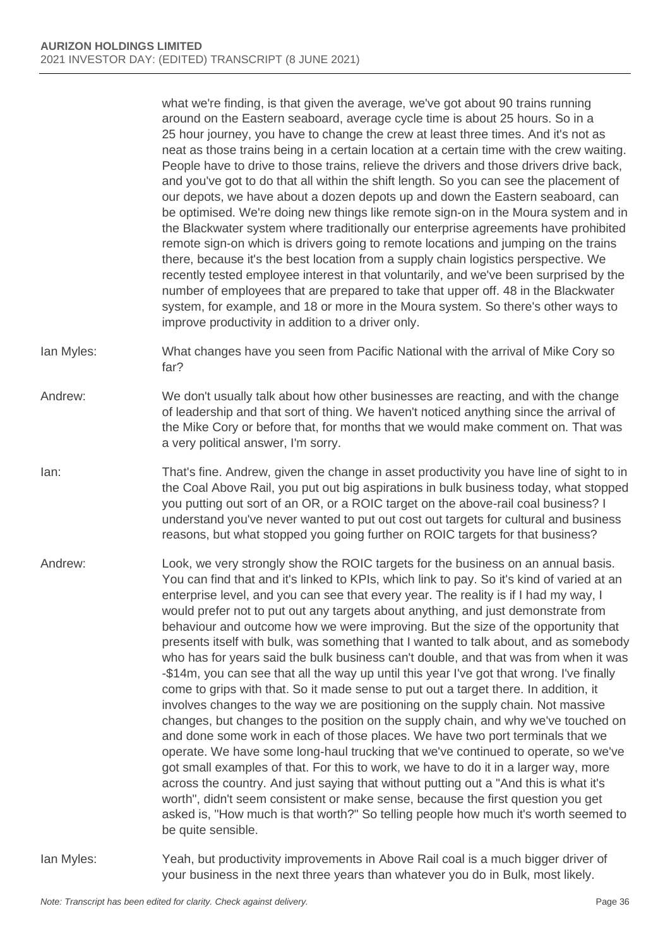what we're finding, is that given the average, we've got about 90 trains running around on the Eastern seaboard, average cycle time is about 25 hours. So in a 25 hour journey, you have to change the crew at least three times. And it's not as neat as those trains being in a certain location at a certain time with the crew waiting. People have to drive to those trains, relieve the drivers and those drivers drive back, and you've got to do that all within the shift length. So you can see the placement of our depots, we have about a dozen depots up and down the Eastern seaboard, can be optimised. We're doing new things like remote sign-on in the Moura system and in the Blackwater system where traditionally our enterprise agreements have prohibited remote sign-on which is drivers going to remote locations and jumping on the trains there, because it's the best location from a supply chain logistics perspective. We recently tested employee interest in that voluntarily, and we've been surprised by the number of employees that are prepared to take that upper off. 48 in the Blackwater system, for example, and 18 or more in the Moura system. So there's other ways to improve productivity in addition to a driver only.

Ian Myles: What changes have you seen from Pacific National with the arrival of Mike Cory so far?

Andrew: We don't usually talk about how other businesses are reacting, and with the change of leadership and that sort of thing. We haven't noticed anything since the arrival of the Mike Cory or before that, for months that we would make comment on. That was a very political answer, I'm sorry.

Ian: That's fine. Andrew, given the change in asset productivity you have line of sight to in the Coal Above Rail, you put out big aspirations in bulk business today, what stopped you putting out sort of an OR, or a ROIC target on the above-rail coal business? I understand you've never wanted to put out cost out targets for cultural and business reasons, but what stopped you going further on ROIC targets for that business?

Andrew: Look, we very strongly show the ROIC targets for the business on an annual basis. You can find that and it's linked to KPIs, which link to pay. So it's kind of varied at an enterprise level, and you can see that every year. The reality is if I had my way, I would prefer not to put out any targets about anything, and just demonstrate from behaviour and outcome how we were improving. But the size of the opportunity that presents itself with bulk, was something that I wanted to talk about, and as somebody who has for years said the bulk business can't double, and that was from when it was -\$14m, you can see that all the way up until this year I've got that wrong. I've finally come to grips with that. So it made sense to put out a target there. In addition, it involves changes to the way we are positioning on the supply chain. Not massive changes, but changes to the position on the supply chain, and why we've touched on and done some work in each of those places. We have two port terminals that we operate. We have some long-haul trucking that we've continued to operate, so we've got small examples of that. For this to work, we have to do it in a larger way, more across the country. And just saying that without putting out a "And this is what it's worth", didn't seem consistent or make sense, because the first question you get asked is, "How much is that worth?" So telling people how much it's worth seemed to be quite sensible.

Ian Myles: Yeah, but productivity improvements in Above Rail coal is a much bigger driver of your business in the next three years than whatever you do in Bulk, most likely.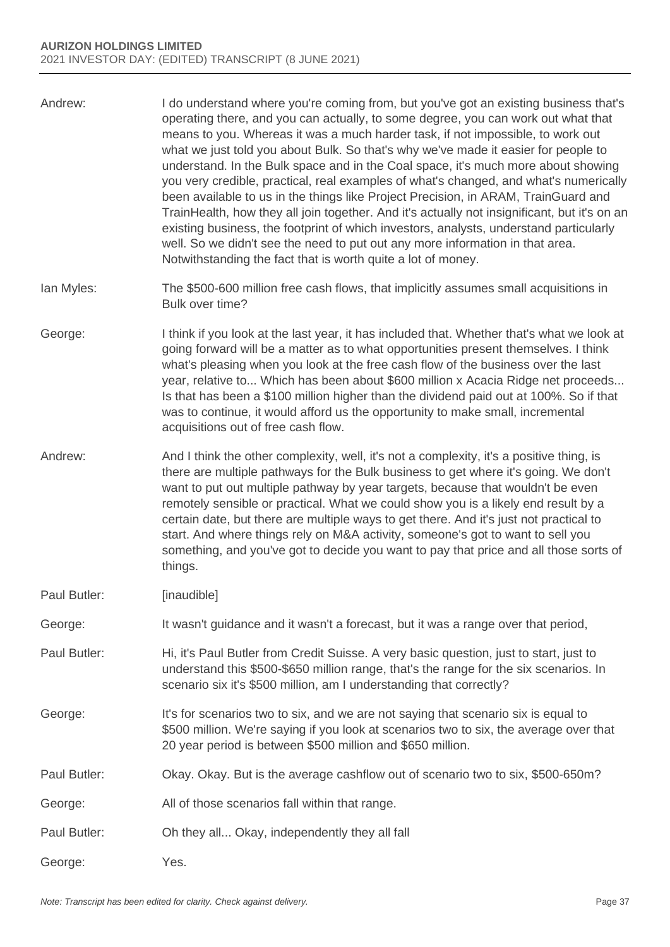- Andrew: I do understand where you're coming from, but you've got an existing business that's operating there, and you can actually, to some degree, you can work out what that means to you. Whereas it was a much harder task, if not impossible, to work out what we just told you about Bulk. So that's why we've made it easier for people to understand. In the Bulk space and in the Coal space, it's much more about showing you very credible, practical, real examples of what's changed, and what's numerically been available to us in the things like Project Precision, in ARAM, TrainGuard and TrainHealth, how they all join together. And it's actually not insignificant, but it's on an existing business, the footprint of which investors, analysts, understand particularly well. So we didn't see the need to put out any more information in that area. Notwithstanding the fact that is worth quite a lot of money.
- Ian Myles: The \$500-600 million free cash flows, that implicitly assumes small acquisitions in Bulk over time?
- George: I think if you look at the last year, it has included that. Whether that's what we look at going forward will be a matter as to what opportunities present themselves. I think what's pleasing when you look at the free cash flow of the business over the last year, relative to... Which has been about \$600 million x Acacia Ridge net proceeds... Is that has been a \$100 million higher than the dividend paid out at 100%. So if that was to continue, it would afford us the opportunity to make small, incremental acquisitions out of free cash flow.
- Andrew: And I think the other complexity, well, it's not a complexity, it's a positive thing, is there are multiple pathways for the Bulk business to get where it's going. We don't want to put out multiple pathway by year targets, because that wouldn't be even remotely sensible or practical. What we could show you is a likely end result by a certain date, but there are multiple ways to get there. And it's just not practical to start. And where things rely on M&A activity, someone's got to want to sell you something, and you've got to decide you want to pay that price and all those sorts of things.
- Paul Butler: [inaudible]
- George: It wasn't guidance and it wasn't a forecast, but it was a range over that period,
- Paul Butler: Hi, it's Paul Butler from Credit Suisse. A very basic question, just to start, just to understand this \$500-\$650 million range, that's the range for the six scenarios. In scenario six it's \$500 million, am I understanding that correctly?
- George: It's for scenarios two to six, and we are not saying that scenario six is equal to \$500 million. We're saying if you look at scenarios two to six, the average over that 20 year period is between \$500 million and \$650 million.
- Paul Butler: Okay. Okay. But is the average cashflow out of scenario two to six, \$500-650m?
- George: All of those scenarios fall within that range.
- Paul Butler: Oh they all... Okay, independently they all fall
- George: Yes.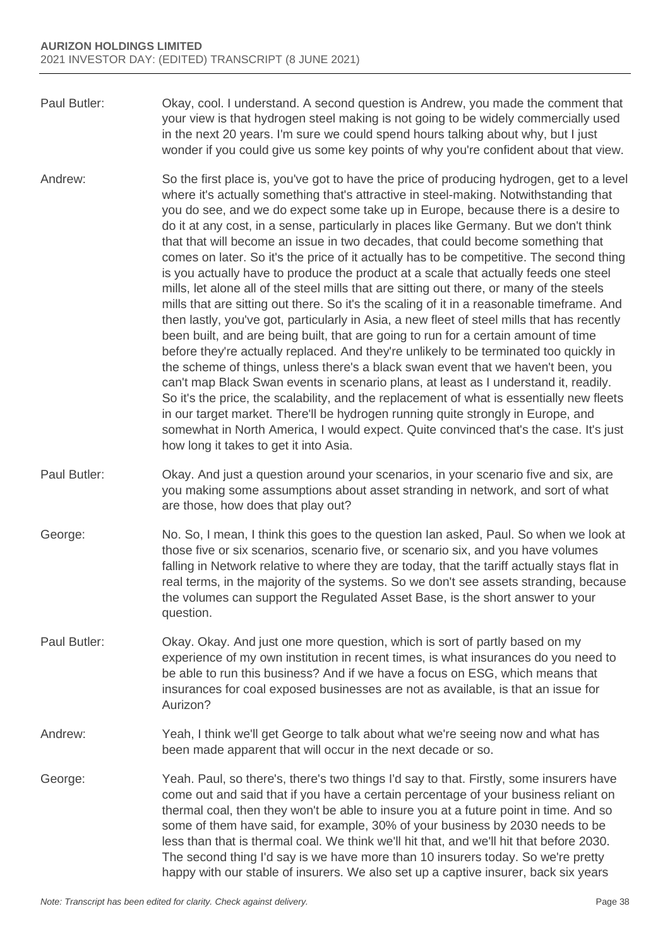- Paul Butler: Okay, cool. I understand. A second question is Andrew, you made the comment that your view is that hydrogen steel making is not going to be widely commercially used in the next 20 years. I'm sure we could spend hours talking about why, but I just wonder if you could give us some key points of why you're confident about that view.
- Andrew: So the first place is, you've got to have the price of producing hydrogen, get to a level where it's actually something that's attractive in steel-making. Notwithstanding that you do see, and we do expect some take up in Europe, because there is a desire to do it at any cost, in a sense, particularly in places like Germany. But we don't think that that will become an issue in two decades, that could become something that comes on later. So it's the price of it actually has to be competitive. The second thing is you actually have to produce the product at a scale that actually feeds one steel mills, let alone all of the steel mills that are sitting out there, or many of the steels mills that are sitting out there. So it's the scaling of it in a reasonable timeframe. And then lastly, you've got, particularly in Asia, a new fleet of steel mills that has recently been built, and are being built, that are going to run for a certain amount of time before they're actually replaced. And they're unlikely to be terminated too quickly in the scheme of things, unless there's a black swan event that we haven't been, you can't map Black Swan events in scenario plans, at least as I understand it, readily. So it's the price, the scalability, and the replacement of what is essentially new fleets in our target market. There'll be hydrogen running quite strongly in Europe, and somewhat in North America, I would expect. Quite convinced that's the case. It's just how long it takes to get it into Asia.
- Paul Butler: Okay. And just a question around your scenarios, in your scenario five and six, are you making some assumptions about asset stranding in network, and sort of what are those, how does that play out?
- George: No. So, I mean, I think this goes to the question Ian asked, Paul. So when we look at those five or six scenarios, scenario five, or scenario six, and you have volumes falling in Network relative to where they are today, that the tariff actually stays flat in real terms, in the majority of the systems. So we don't see assets stranding, because the volumes can support the Regulated Asset Base, is the short answer to your question.
- Paul Butler: Okay. Okay. And just one more question, which is sort of partly based on my experience of my own institution in recent times, is what insurances do you need to be able to run this business? And if we have a focus on ESG, which means that insurances for coal exposed businesses are not as available, is that an issue for Aurizon?
- Andrew: Yeah, I think we'll get George to talk about what we're seeing now and what has been made apparent that will occur in the next decade or so.
- George: Yeah. Paul, so there's, there's two things I'd say to that. Firstly, some insurers have come out and said that if you have a certain percentage of your business reliant on thermal coal, then they won't be able to insure you at a future point in time. And so some of them have said, for example, 30% of your business by 2030 needs to be less than that is thermal coal. We think we'll hit that, and we'll hit that before 2030. The second thing I'd say is we have more than 10 insurers today. So we're pretty happy with our stable of insurers. We also set up a captive insurer, back six years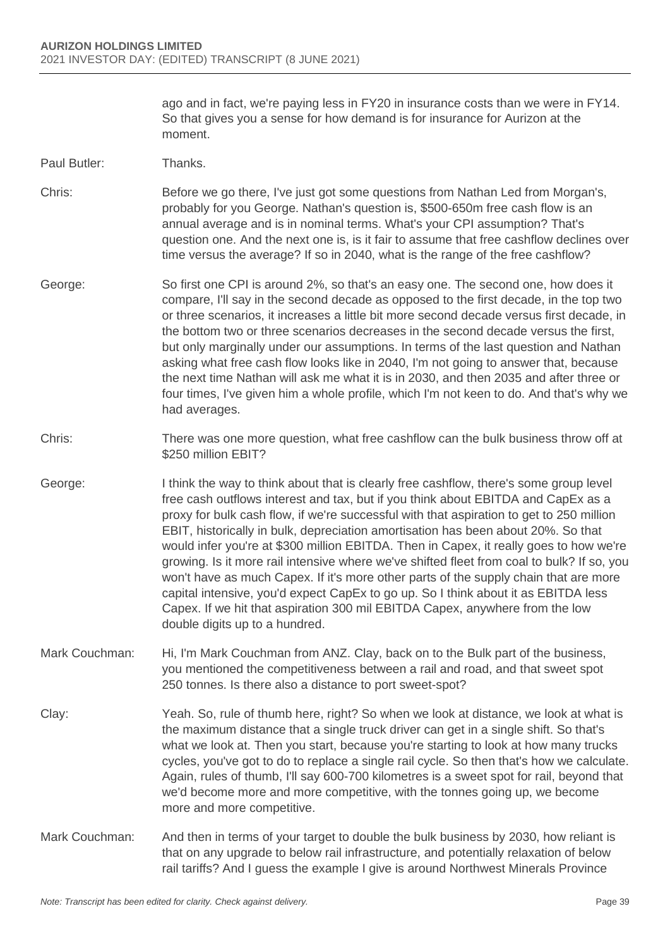ago and in fact, we're paying less in FY20 in insurance costs than we were in FY14. So that gives you a sense for how demand is for insurance for Aurizon at the moment.

Paul Butler: Thanks.

Chris: Before we go there, I've just got some questions from Nathan Led from Morgan's, probably for you George. Nathan's question is, \$500-650m free cash flow is an annual average and is in nominal terms. What's your CPI assumption? That's question one. And the next one is, is it fair to assume that free cashflow declines over time versus the average? If so in 2040, what is the range of the free cashflow?

- George: So first one CPI is around 2%, so that's an easy one. The second one, how does it compare, I'll say in the second decade as opposed to the first decade, in the top two or three scenarios, it increases a little bit more second decade versus first decade, in the bottom two or three scenarios decreases in the second decade versus the first, but only marginally under our assumptions. In terms of the last question and Nathan asking what free cash flow looks like in 2040, I'm not going to answer that, because the next time Nathan will ask me what it is in 2030, and then 2035 and after three or four times, I've given him a whole profile, which I'm not keen to do. And that's why we had averages.
- Chris: There was one more question, what free cashflow can the bulk business throw off at \$250 million EBIT?
- George: I think the way to think about that is clearly free cashflow, there's some group level free cash outflows interest and tax, but if you think about EBITDA and CapEx as a proxy for bulk cash flow, if we're successful with that aspiration to get to 250 million EBIT, historically in bulk, depreciation amortisation has been about 20%. So that would infer you're at \$300 million EBITDA. Then in Capex, it really goes to how we're growing. Is it more rail intensive where we've shifted fleet from coal to bulk? If so, you won't have as much Capex. If it's more other parts of the supply chain that are more capital intensive, you'd expect CapEx to go up. So I think about it as EBITDA less Capex. If we hit that aspiration 300 mil EBITDA Capex, anywhere from the low double digits up to a hundred.
- Mark Couchman: Hi, I'm Mark Couchman from ANZ. Clay, back on to the Bulk part of the business, you mentioned the competitiveness between a rail and road, and that sweet spot 250 tonnes. Is there also a distance to port sweet-spot?
- Clay: Yeah. So, rule of thumb here, right? So when we look at distance, we look at what is the maximum distance that a single truck driver can get in a single shift. So that's what we look at. Then you start, because you're starting to look at how many trucks cycles, you've got to do to replace a single rail cycle. So then that's how we calculate. Again, rules of thumb, I'll say 600-700 kilometres is a sweet spot for rail, beyond that we'd become more and more competitive, with the tonnes going up, we become more and more competitive.
- Mark Couchman: And then in terms of your target to double the bulk business by 2030, how reliant is that on any upgrade to below rail infrastructure, and potentially relaxation of below rail tariffs? And I guess the example I give is around Northwest Minerals Province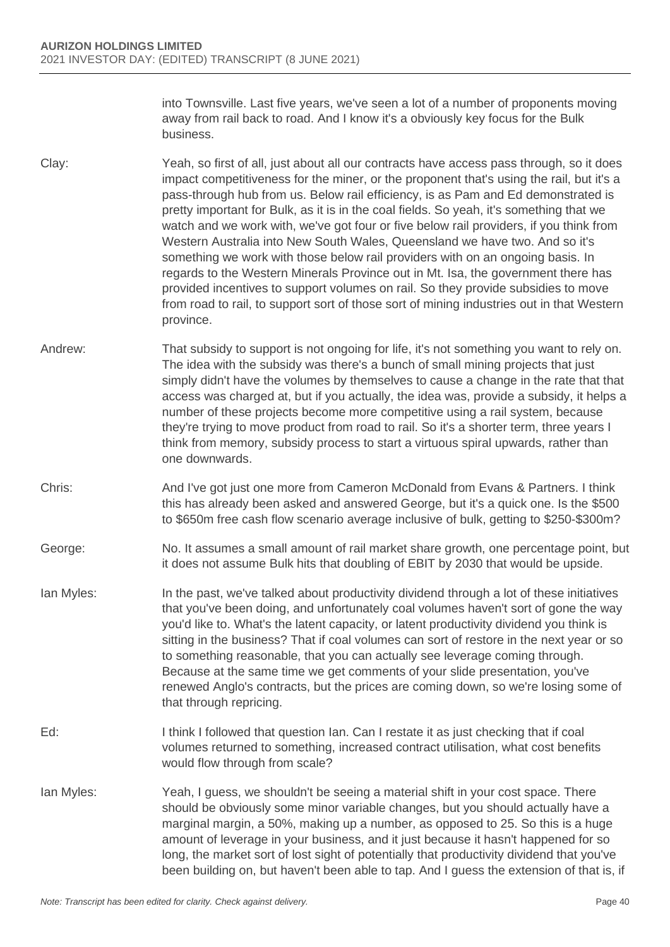into Townsville. Last five years, we've seen a lot of a number of proponents moving away from rail back to road. And I know it's a obviously key focus for the Bulk business.

- Clay: Yeah, so first of all, just about all our contracts have access pass through, so it does impact competitiveness for the miner, or the proponent that's using the rail, but it's a pass-through hub from us. Below rail efficiency, is as Pam and Ed demonstrated is pretty important for Bulk, as it is in the coal fields. So yeah, it's something that we watch and we work with, we've got four or five below rail providers, if you think from Western Australia into New South Wales, Queensland we have two. And so it's something we work with those below rail providers with on an ongoing basis. In regards to the Western Minerals Province out in Mt. Isa, the government there has provided incentives to support volumes on rail. So they provide subsidies to move from road to rail, to support sort of those sort of mining industries out in that Western province.
- Andrew: That subsidy to support is not ongoing for life, it's not something you want to rely on. The idea with the subsidy was there's a bunch of small mining projects that just simply didn't have the volumes by themselves to cause a change in the rate that that access was charged at, but if you actually, the idea was, provide a subsidy, it helps a number of these projects become more competitive using a rail system, because they're trying to move product from road to rail. So it's a shorter term, three years I think from memory, subsidy process to start a virtuous spiral upwards, rather than one downwards.
- Chris: And I've got just one more from Cameron McDonald from Evans & Partners. I think this has already been asked and answered George, but it's a quick one. Is the \$500 to \$650m free cash flow scenario average inclusive of bulk, getting to \$250-\$300m?
- George: No. It assumes a small amount of rail market share growth, one percentage point, but it does not assume Bulk hits that doubling of EBIT by 2030 that would be upside.
- Ian Myles: In the past, we've talked about productivity dividend through a lot of these initiatives that you've been doing, and unfortunately coal volumes haven't sort of gone the way you'd like to. What's the latent capacity, or latent productivity dividend you think is sitting in the business? That if coal volumes can sort of restore in the next year or so to something reasonable, that you can actually see leverage coming through. Because at the same time we get comments of your slide presentation, you've renewed Anglo's contracts, but the prices are coming down, so we're losing some of that through repricing.
- Ed: I think I followed that question Ian. Can I restate it as just checking that if coal volumes returned to something, increased contract utilisation, what cost benefits would flow through from scale?
- Ian Myles: Yeah, I guess, we shouldn't be seeing a material shift in your cost space. There should be obviously some minor variable changes, but you should actually have a marginal margin, a 50%, making up a number, as opposed to 25. So this is a huge amount of leverage in your business, and it just because it hasn't happened for so long, the market sort of lost sight of potentially that productivity dividend that you've been building on, but haven't been able to tap. And I guess the extension of that is, if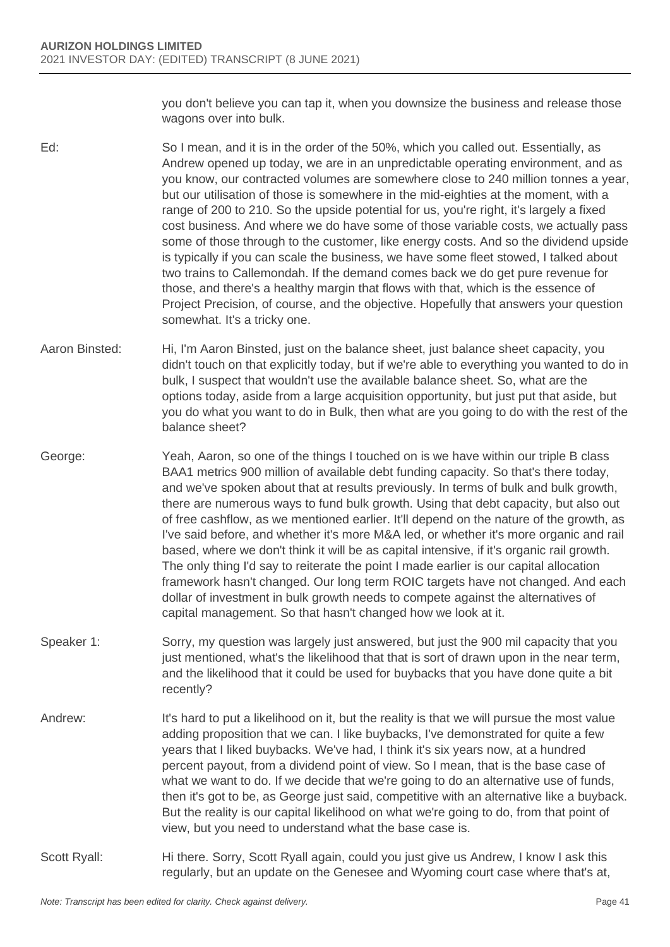you don't believe you can tap it, when you downsize the business and release those wagons over into bulk.

- Ed: So I mean, and it is in the order of the 50%, which you called out. Essentially, as Andrew opened up today, we are in an unpredictable operating environment, and as you know, our contracted volumes are somewhere close to 240 million tonnes a year, but our utilisation of those is somewhere in the mid-eighties at the moment, with a range of 200 to 210. So the upside potential for us, you're right, it's largely a fixed cost business. And where we do have some of those variable costs, we actually pass some of those through to the customer, like energy costs. And so the dividend upside is typically if you can scale the business, we have some fleet stowed, I talked about two trains to Callemondah. If the demand comes back we do get pure revenue for those, and there's a healthy margin that flows with that, which is the essence of Project Precision, of course, and the objective. Hopefully that answers your question somewhat. It's a tricky one.
- Aaron Binsted: Hi, I'm Aaron Binsted, just on the balance sheet, just balance sheet capacity, you didn't touch on that explicitly today, but if we're able to everything you wanted to do in bulk, I suspect that wouldn't use the available balance sheet. So, what are the options today, aside from a large acquisition opportunity, but just put that aside, but you do what you want to do in Bulk, then what are you going to do with the rest of the balance sheet?
- George: Yeah, Aaron, so one of the things I touched on is we have within our triple B class BAA1 metrics 900 million of available debt funding capacity. So that's there today, and we've spoken about that at results previously. In terms of bulk and bulk growth, there are numerous ways to fund bulk growth. Using that debt capacity, but also out of free cashflow, as we mentioned earlier. It'll depend on the nature of the growth, as I've said before, and whether it's more M&A led, or whether it's more organic and rail based, where we don't think it will be as capital intensive, if it's organic rail growth. The only thing I'd say to reiterate the point I made earlier is our capital allocation framework hasn't changed. Our long term ROIC targets have not changed. And each dollar of investment in bulk growth needs to compete against the alternatives of capital management. So that hasn't changed how we look at it.
- Speaker 1: Sorry, my question was largely just answered, but just the 900 mil capacity that you just mentioned, what's the likelihood that that is sort of drawn upon in the near term, and the likelihood that it could be used for buybacks that you have done quite a bit recently?
- Andrew: It's hard to put a likelihood on it, but the reality is that we will pursue the most value adding proposition that we can. I like buybacks, I've demonstrated for quite a few years that I liked buybacks. We've had, I think it's six years now, at a hundred percent payout, from a dividend point of view. So I mean, that is the base case of what we want to do. If we decide that we're going to do an alternative use of funds, then it's got to be, as George just said, competitive with an alternative like a buyback. But the reality is our capital likelihood on what we're going to do, from that point of view, but you need to understand what the base case is.
- Scott Ryall: Hi there. Sorry, Scott Ryall again, could you just give us Andrew, I know I ask this regularly, but an update on the Genesee and Wyoming court case where that's at,